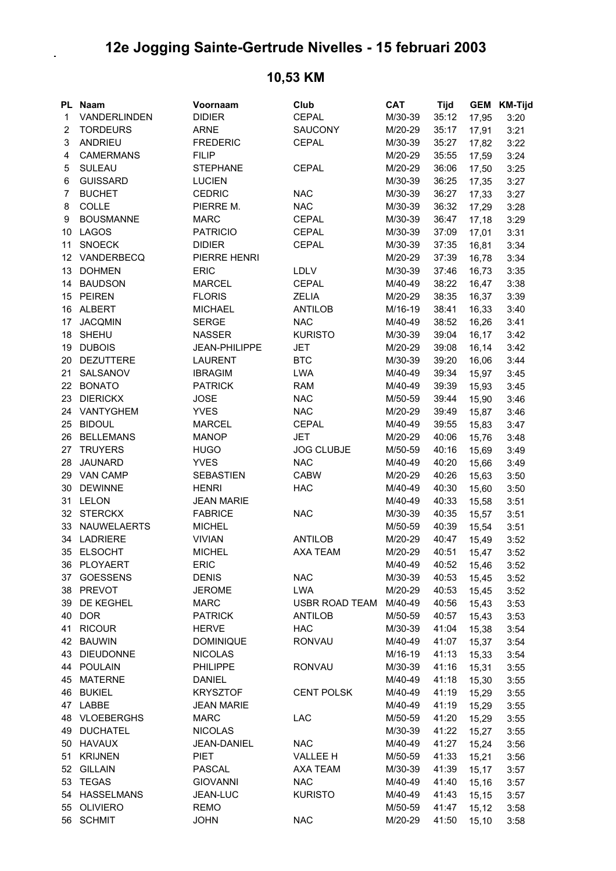## **12e Jogging Sainte-Gertrude Nivelles - 15 februari 2003**

## **PL Naam Voornaam Club CAT Tijd GEM KM-Tijd** 1 VANDERLINDEN DIDIER CEPAL M/30-39 35:12 17,95 3:20 2 TORDEURS ARNE SAUCONY M/20-29 35:17 17,91 3:21 3 ANDRIEU FREDERIC CEPAL M/30-39 35:27 17,82 3:22 4 CAMERMANS FILIP FILIP M/20-29 35:55 17.59 3:24 5 SULEAU STEPHANE CEPAL M/20-29 36:06 17,50 3:25 6 GUISSARD LUCIEN M/30-39 36:25 17,35 3:27 7 BUCHET CEDRIC NAC M/30-39 36:27 17,33 3:27 8 COLLE PIERRE M. NAC M/30-39 36:32 17,29 3:28 9 BOUSMANNE MARC CEPAL M/30-39 36:47 17,18 3:29 10 LAGOS PATRICIO CEPAL M/30-39 37:09 17,01 3:31 11 SNOECK DIDIER CEPAL M/30-39 37:35 16,81 3:34 12 VANDERBECQ PIERRE HENRI M/20-29 37:39 16,78 3:34 13 DOHMEN ERIC LDLV M/30-39 37:46 16,73 3:35 14 BAUDSON MARCEL CEPAL M/40-49 38:22 16,47 3:38 15 PEIREN FLORIS ZELIA M/20-29 38:35 16,37 3:39 16 ALBERT MICHAEL ANTILOB M/16-19 38:41 16,33 3:40 17 JACQMIN SERGE NAC M/40-49 38:52 16,26 3:41 18 SHEHU NASSER KURISTO M/30-39 39:04 16,17 3:42 19 DUBOIS JEAN-PHILIPPE JET M/20-29 39:08 16,14 3:42 20 DEZUTTERE LAURENT BTC M/30-39 39:20 16,06 3:44 21 SALSANOV IBRAGIM LWA M/40-49 39:34 15,97 3:45 22 BONATO PATRICK RAM M/40-49 39:39 15,93 3:45 23 DIERICKX JOSE NAC M/50-59 39:44 15,90 3:46 24 VANTYGHEM YVES NAC M/20-29 39:49 15,87 3:46 25 BIDOUL MARCEL CEPAL M/40-49 39:55 15,83 3:47 26 BELLEMANS MANOP JET M/20-29 40:06 15,76 3:48 27 TRUYERS HUGO JOG CLUBJE M/50-59 40:16 15,69 3:49 28 JAUNARD YVES NAC M/40-49 40:20 15,66 3:49 29 VAN CAMP SEBASTIEN CABW M/20-29 40:26 15,63 3:50 30 DEWINNE HENRI HAC M/40-49 40:30 15,60 3:50 31 LELON JEAN MARIE M/40-49 40:33 15,58 3:51 32 STERCKX FABRICE NAC M/30-39 40:35 15,57 3:51 33 NAUWELAERTS MICHEL M/50-59 40:39 15,54 3:51 34 LADRIERE VIVIAN ANTILOB M/20-29 40:47 15,49 3:52 35 ELSOCHT MICHEL AXA TEAM M/20-29 40:51 15,47 3:52 36 PLOYAERT ERIC M/40-49 40:52 15,46 3:52 37 GOESSENS DENIS NAC M/30-39 40:53 15,45 3:52 38 PREVOT JEROME LWA M/20-29 40:53 15,45 3:52 39 DE KEGHEL MARC USBR ROAD TEAM M/40-49 40:56 15,43 3:53 40 DOR PATRICK ANTILOB M/50-59 40:57 15,43 3:53 41 RICOUR HERVE HAC M/30-39 41:04 15,38 3:54 42 BAUWIN DOMINIQUE RONVAU M/40-49 41:07 15,37 3:54 43 DIEUDONNE NICOLAS M/16-19 41:13 15,33 3:54 44 POULAIN PHILIPPE RONVAU M/30-39 41:16 15,31 3:55 45 MATERNE DANIEL M/40-49 41:18 15,30 3:55 46 BUKIEL KRYSZTOF CENT POLSK M/40-49 41:19 15,29 3:55 47 LABBE JEAN MARIE M/40-49 41:19 15,29 3:55 48 VLOEBERGHS MARC LAC M/50-59 41:20 15,29 3:55 49 DUCHATEL NICOLAS M/30-39 41:22 15,27 3:55 50 HAVAUX JEAN-DANIEL NAC M/40-49 41:27 15,24 3:56 51 KRIJNEN PIET VALLEE H M/50-59 41:33 15,21 3:56 52 GILLAIN PASCAL AXA TEAM M/30-39 41:39 15,17 3:57 53 TEGAS GIOVANNI NAC M/40-49 41:40 15,16 3:57 54 HASSELMANS JEAN-LUC KURISTO M/40-49 41:43 15,15 3:57 55 OLIVIERO REMO M/50-59 41:47 15,12 3:58 56 SCHMIT JOHN NAC M/20-29 41:50 15,10 3:58

## **10,53 KM**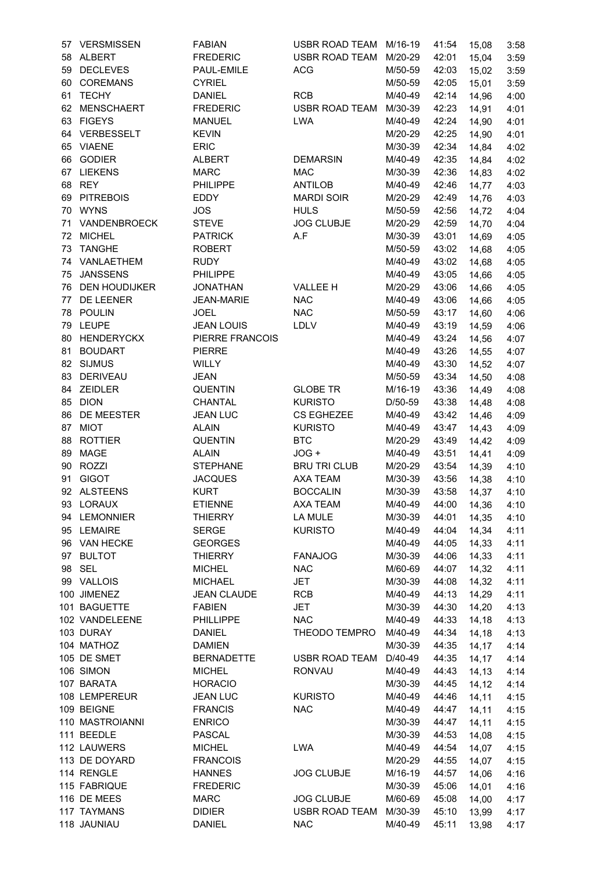| 57 | <b>VERSMISSEN</b>  | <b>FABIAN</b>      | USBR ROAD TEAM        | M/16-19 | 41:54       | 15,08  | 3:58 |
|----|--------------------|--------------------|-----------------------|---------|-------------|--------|------|
|    | 58 ALBERT          | <b>FREDERIC</b>    | <b>USBR ROAD TEAM</b> | M/20-29 | 42:01       | 15,04  | 3:59 |
|    | 59 DECLEVES        | PAUL-EMILE         | <b>ACG</b>            | M/50-59 | 42:03       | 15,02  | 3:59 |
|    | 60 COREMANS        | <b>CYRIEL</b>      |                       | M/50-59 | 42:05       | 15,01  | 3:59 |
| 61 | <b>TECHY</b>       | <b>DANIEL</b>      | <b>RCB</b>            | M/40-49 | 42:14       | 14,96  | 4:00 |
|    | 62 MENSCHAERT      | <b>FREDERIC</b>    | <b>USBR ROAD TEAM</b> | M/30-39 | 42:23       | 14,91  | 4:01 |
|    | 63 FIGEYS          | <b>MANUEL</b>      | <b>LWA</b>            | M/40-49 | 42:24       | 14,90  | 4:01 |
|    | 64 VERBESSELT      | <b>KEVIN</b>       |                       | M/20-29 | 42:25       | 14,90  | 4:01 |
|    | 65 VIAENE          | <b>ERIC</b>        |                       | M/30-39 | 42:34       | 14,84  | 4:02 |
|    | 66 GODIER          |                    |                       |         |             |        |      |
|    |                    | <b>ALBERT</b>      | <b>DEMARSIN</b>       | M/40-49 | 42:35       | 14,84  | 4:02 |
|    | 67 LIEKENS         | <b>MARC</b>        | <b>MAC</b>            | M/30-39 | 42:36       | 14,83  | 4:02 |
| 68 | REY                | <b>PHILIPPE</b>    | <b>ANTILOB</b>        | M/40-49 | 42:46       | 14,77  | 4:03 |
|    | 69 PITREBOIS       | EDDY               | <b>MARDI SOIR</b>     | M/20-29 | 42:49       | 14,76  | 4:03 |
|    | 70 WYNS            | <b>JOS</b>         | <b>HULS</b>           | M/50-59 | 42:56       | 14,72  | 4:04 |
| 71 | VANDENBROECK       | <b>STEVE</b>       | <b>JOG CLUBJE</b>     | M/20-29 | 42:59       | 14,70  | 4:04 |
|    | 72 MICHEL          | <b>PATRICK</b>     | A.F                   | M/30-39 | 43:01       | 14,69  | 4:05 |
|    | 73 TANGHE          | <b>ROBERT</b>      |                       | M/50-59 | 43:02       | 14,68  | 4:05 |
|    | 74 VANLAETHEM      | <b>RUDY</b>        |                       | M/40-49 | 43:02       | 14,68  | 4:05 |
| 75 | <b>JANSSENS</b>    | <b>PHILIPPE</b>    |                       | M/40-49 | 43:05       | 14,66  | 4:05 |
|    | 76 DEN HOUDIJKER   | <b>JONATHAN</b>    | <b>VALLEE H</b>       | M/20-29 | 43:06       | 14,66  | 4:05 |
|    | 77 DE LEENER       | <b>JEAN-MARIE</b>  | <b>NAC</b>            | M/40-49 | 43:06       | 14,66  | 4:05 |
| 78 | POULIN             | <b>JOEL</b>        | <b>NAC</b>            | M/50-59 | 43:17       | 14,60  | 4:06 |
| 79 | <b>LEUPE</b>       | <b>JEAN LOUIS</b>  | LDLV                  | M/40-49 | 43:19       | 14,59  | 4:06 |
| 80 | <b>HENDERYCKX</b>  | PIERRE FRANCOIS    |                       | M/40-49 | 43:24       | 14,56  | 4:07 |
| 81 | <b>BOUDART</b>     | <b>PIERRE</b>      |                       | M/40-49 | 43:26       | 14,55  | 4:07 |
| 82 | <b>SIJMUS</b>      | WILLY              |                       | M/40-49 | 43:30       | 14,52  | 4:07 |
| 83 | <b>DERIVEAU</b>    | <b>JEAN</b>        |                       | M/50-59 | 43:34       | 14,50  | 4:08 |
| 84 | <b>ZEIDLER</b>     | <b>QUENTIN</b>     | <b>GLOBE TR</b>       | M/16-19 | 43:36       |        |      |
|    |                    |                    |                       |         |             | 14,49  | 4:08 |
| 85 | <b>DION</b>        | <b>CHANTAL</b>     | <b>KURISTO</b>        | D/50-59 | 43:38       | 14,48  | 4:08 |
| 86 | DE MEESTER         | <b>JEAN LUC</b>    | <b>CS EGHEZEE</b>     | M/40-49 | 43:42       | 14,46  | 4:09 |
| 87 | <b>MIOT</b>        | <b>ALAIN</b>       | <b>KURISTO</b>        | M/40-49 | 43:47       | 14,43  | 4:09 |
| 88 | <b>ROTTIER</b>     | <b>QUENTIN</b>     | <b>BTC</b>            | M/20-29 | 43:49       | 14,42  | 4:09 |
| 89 | MAGE               | <b>ALAIN</b>       | JOG +                 | M/40-49 | 43:51       | 14,41  | 4:09 |
| 90 | ROZZI              | <b>STEPHANE</b>    | <b>BRU TRI CLUB</b>   | M/20-29 | 43:54       | 14,39  | 4:10 |
| 91 | <b>GIGOT</b>       | <b>JACQUES</b>     | AXA TEAM              | M/30-39 | 43:56       | 14,38  | 4:10 |
|    | 92 ALSTEENS        | <b>KURT</b>        | <b>BOCCALIN</b>       | M/30-39 | 43:58       | 14,37  | 4:10 |
|    | 93 LORAUX          | <b>ETIENNE</b>     | <b>AXA TEAM</b>       | M/40-49 | 44:00 14,36 |        | 4:10 |
|    | 94 LEMONNIER       | <b>THIERRY</b>     | LA MULE               | M/30-39 | 44:01       | 14,35  | 4:10 |
|    | 95 LEMAIRE         | <b>SERGE</b>       | <b>KURISTO</b>        | M/40-49 | 44:04       | 14,34  | 4:11 |
|    | 96 VAN HECKE       | <b>GEORGES</b>     |                       | M/40-49 | 44:05       | 14,33  | 4:11 |
|    | 97 BULTOT          | <b>THIERRY</b>     | <b>FANAJOG</b>        | M/30-39 | 44:06       | 14,33  | 4:11 |
|    | 98 SEL             | <b>MICHEL</b>      | <b>NAC</b>            | M/60-69 | 44:07       | 14,32  | 4:11 |
|    | 99 VALLOIS         | <b>MICHAEL</b>     | <b>JET</b>            | M/30-39 | 44:08       | 14,32  | 4:11 |
|    | 100 JIMENEZ        | <b>JEAN CLAUDE</b> | <b>RCB</b>            | M/40-49 | 44:13       | 14,29  | 4:11 |
|    | 101 BAGUETTE       | <b>FABIEN</b>      | <b>JET</b>            | M/30-39 | 44:30       | 14,20  | 4:13 |
|    | 102 VANDELEENE     | <b>PHILLIPPE</b>   | <b>NAC</b>            | M/40-49 | 44:33       | 14,18  | 4:13 |
|    | 103 DURAY          | DANIEL             | THEODO TEMPRO         | M/40-49 | 44:34       | 14,18  | 4:13 |
|    | 104 MATHOZ         | <b>DAMIEN</b>      |                       | M/30-39 | 44:35       |        |      |
|    |                    |                    |                       |         |             | 14,17  | 4:14 |
|    | 105 DE SMET        | <b>BERNADETTE</b>  | <b>USBR ROAD TEAM</b> | D/40-49 | 44:35       | 14, 17 | 4:14 |
|    | 106 SIMON          | <b>MICHEL</b>      | <b>RONVAU</b>         | M/40-49 | 44:43       | 14,13  | 4:14 |
|    | 107 BARATA         | <b>HORACIO</b>     |                       | M/30-39 | 44:45       | 14, 12 | 4:14 |
|    | 108 LEMPEREUR      | <b>JEAN LUC</b>    | <b>KURISTO</b>        | M/40-49 | 44:46       | 14,11  | 4:15 |
|    | 109 BEIGNE         | <b>FRANCIS</b>     | <b>NAC</b>            | M/40-49 | 44:47       | 14,11  | 4:15 |
|    | 110 MASTROIANNI    | <b>ENRICO</b>      |                       | M/30-39 | 44:47       | 14,11  | 4:15 |
|    | 111 BEEDLE         | <b>PASCAL</b>      |                       | M/30-39 | 44:53       | 14,08  | 4:15 |
|    | 112 LAUWERS        | <b>MICHEL</b>      | LWA                   | M/40-49 | 44:54       | 14,07  | 4:15 |
|    | 113 DE DOYARD      | <b>FRANCOIS</b>    |                       | M/20-29 | 44:55       | 14,07  | 4:15 |
|    | 114 RENGLE         | <b>HANNES</b>      | <b>JOG CLUBJE</b>     | M/16-19 | 44:57       | 14,06  | 4:16 |
|    | 115 FABRIQUE       | <b>FREDERIC</b>    |                       | M/30-39 | 45:06       | 14,01  | 4:16 |
|    | 116 DE MEES        | <b>MARC</b>        | <b>JOG CLUBJE</b>     | M/60-69 | 45:08       | 14,00  | 4:17 |
|    | <b>117 TAYMANS</b> | <b>DIDIER</b>      | USBR ROAD TEAM        | M/30-39 | 45:10       | 13,99  | 4:17 |
|    | 118 JAUNIAU        | <b>DANIEL</b>      | <b>NAC</b>            | M/40-49 | 45:11       | 13,98  | 4:17 |
|    |                    |                    |                       |         |             |        |      |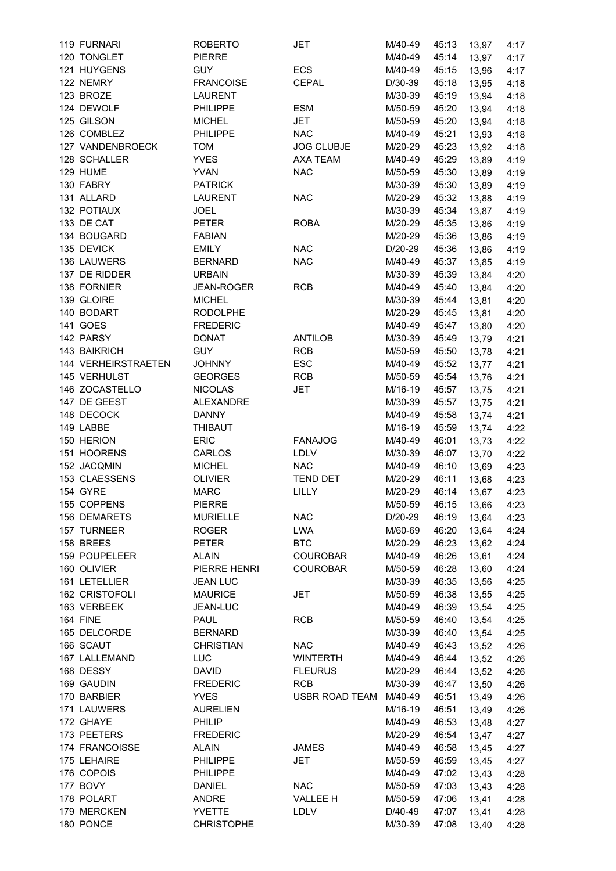| 119 FURNARI               | <b>ROBERTO</b>    | JET                   | M/40-49 | 45:13 | 13,97 | 4:17 |
|---------------------------|-------------------|-----------------------|---------|-------|-------|------|
| 120 TONGLET               | <b>PIERRE</b>     |                       | M/40-49 | 45:14 | 13,97 | 4:17 |
| 121 HUYGENS               | <b>GUY</b>        | ECS                   | M/40-49 | 45:15 | 13,96 | 4:17 |
| 122 NEMRY                 | <b>FRANCOISE</b>  | <b>CEPAL</b>          | D/30-39 | 45:18 | 13,95 | 4:18 |
| 123 BROZE                 | <b>LAURENT</b>    |                       | M/30-39 | 45:19 | 13,94 | 4:18 |
| 124 DEWOLF                | <b>PHILIPPE</b>   | <b>ESM</b>            | M/50-59 | 45:20 | 13,94 | 4:18 |
| 125 GILSON                | <b>MICHEL</b>     | <b>JET</b>            | M/50-59 | 45:20 | 13,94 | 4:18 |
| 126 COMBLEZ               | <b>PHILIPPE</b>   | <b>NAC</b>            | M/40-49 | 45:21 | 13,93 | 4:18 |
| 127 VANDENBROECK          | <b>TOM</b>        | <b>JOG CLUBJE</b>     | M/20-29 | 45:23 | 13,92 | 4:18 |
| 128 SCHALLER              | <b>YVES</b>       | AXA TEAM              | M/40-49 | 45:29 | 13,89 | 4:19 |
| 129 HUME                  | <b>YVAN</b>       | <b>NAC</b>            | M/50-59 | 45:30 | 13,89 | 4:19 |
| 130 FABRY                 | <b>PATRICK</b>    |                       | M/30-39 | 45:30 | 13,89 | 4:19 |
| 131 ALLARD                | <b>LAURENT</b>    | <b>NAC</b>            | M/20-29 | 45:32 | 13,88 | 4:19 |
| 132 POTIAUX               | <b>JOEL</b>       |                       | M/30-39 | 45:34 | 13,87 | 4:19 |
| 133 DE CAT                | <b>PETER</b>      | <b>ROBA</b>           | M/20-29 | 45:35 | 13,86 | 4:19 |
| 134 BOUGARD               | <b>FABIAN</b>     |                       | M/20-29 | 45:36 | 13,86 | 4:19 |
| 135 DEVICK                | <b>EMILY</b>      | <b>NAC</b>            | D/20-29 | 45:36 | 13,86 | 4:19 |
| 136 LAUWERS               | <b>BERNARD</b>    | <b>NAC</b>            | M/40-49 | 45:37 | 13,85 | 4:19 |
| 137 DE RIDDER             | <b>URBAIN</b>     |                       | M/30-39 | 45:39 | 13,84 | 4:20 |
| 138 FORNIER               | <b>JEAN-ROGER</b> | <b>RCB</b>            | M/40-49 | 45:40 | 13,84 | 4:20 |
| 139 GLOIRE                | <b>MICHEL</b>     |                       | M/30-39 | 45:44 | 13,81 | 4:20 |
| 140 BODART                | <b>RODOLPHE</b>   |                       | M/20-29 | 45:45 |       | 4:20 |
|                           |                   |                       |         |       | 13,81 |      |
| 141 GOES                  | <b>FREDERIC</b>   |                       | M/40-49 | 45:47 | 13,80 | 4:20 |
| 142 PARSY                 | <b>DONAT</b>      | <b>ANTILOB</b>        | M/30-39 | 45:49 | 13,79 | 4:21 |
| 143 BAIKRICH              | <b>GUY</b>        | <b>RCB</b>            | M/50-59 | 45:50 | 13,78 | 4:21 |
| 144 VERHEIRSTRAETEN       | <b>JOHNNY</b>     | <b>ESC</b>            | M/40-49 | 45:52 | 13,77 | 4:21 |
| 145 VERHULST              | <b>GEORGES</b>    | RCB                   | M/50-59 | 45:54 | 13,76 | 4:21 |
| 146 ZOCASTELLO            | <b>NICOLAS</b>    | <b>JET</b>            | M/16-19 | 45:57 | 13,75 | 4:21 |
| 147 DE GEEST              | <b>ALEXANDRE</b>  |                       | M/30-39 | 45:57 | 13,75 | 4:21 |
| 148 DECOCK                | <b>DANNY</b>      |                       | M/40-49 | 45:58 | 13,74 | 4:21 |
| 149 LABBE                 | <b>THIBAUT</b>    |                       | M/16-19 | 45:59 | 13,74 | 4:22 |
| 150 HERION                | <b>ERIC</b>       | <b>FANAJOG</b>        | M/40-49 | 46:01 | 13,73 | 4:22 |
| 151 HOORENS               | <b>CARLOS</b>     | LDLV                  | M/30-39 | 46:07 | 13,70 | 4:22 |
| 152 JACQMIN               | <b>MICHEL</b>     | <b>NAC</b>            | M/40-49 | 46:10 | 13,69 | 4:23 |
| 153 CLAESSENS             | <b>OLIVIER</b>    | <b>TEND DET</b>       | M/20-29 | 46:11 | 13,68 | 4:23 |
| 154 GYRE                  | <b>MARC</b>       | LILLY                 | M/20-29 | 46:14 | 13,67 | 4:23 |
| 155 COPPENS               | PIERRE            |                       | M/50-59 | 46:15 | 13,66 | 4:23 |
| 156 DEMARETS              | <b>MURIELLE</b>   | <b>NAC</b>            | D/20-29 | 46:19 | 13,64 | 4:23 |
| 157 TURNEER               | <b>ROGER</b>      | <b>LWA</b>            | M/60-69 | 46:20 | 13,64 | 4:24 |
| 158 BREES                 | <b>PETER</b>      | <b>BTC</b>            | M/20-29 | 46:23 | 13,62 | 4:24 |
| 159 POUPELEER             | <b>ALAIN</b>      | <b>COUROBAR</b>       | M/40-49 | 46:26 | 13,61 | 4:24 |
| 160 OLIVIER               | PIERRE HENRI      | <b>COUROBAR</b>       | M/50-59 | 46:28 | 13,60 | 4:24 |
| 161 LETELLIER             | <b>JEAN LUC</b>   |                       | M/30-39 | 46:35 | 13,56 | 4:25 |
| 162 CRISTOFOLI            | <b>MAURICE</b>    | JET                   | M/50-59 | 46:38 | 13,55 | 4:25 |
| 163 VERBEEK               | JEAN-LUC          |                       | M/40-49 | 46:39 | 13,54 | 4:25 |
| <b>164 FINE</b>           | PAUL              | <b>RCB</b>            | M/50-59 | 46:40 | 13,54 | 4:25 |
| 165 DELCORDE              | <b>BERNARD</b>    |                       | M/30-39 | 46:40 | 13,54 | 4:25 |
| 166 SCAUT                 | <b>CHRISTIAN</b>  | <b>NAC</b>            | M/40-49 | 46:43 | 13,52 | 4:26 |
| 167 LALLEMAND             | LUC               | <b>WINTERTH</b>       | M/40-49 | 46:44 | 13,52 | 4:26 |
| 168 DESSY                 | <b>DAVID</b>      | <b>FLEURUS</b>        | M/20-29 | 46:44 | 13,52 | 4:26 |
| 169 GAUDIN                | <b>FREDERIC</b>   | <b>RCB</b>            | M/30-39 | 46:47 | 13,50 | 4:26 |
| 170 BARBIER               | <b>YVES</b>       | <b>USBR ROAD TEAM</b> | M/40-49 | 46:51 | 13,49 | 4:26 |
| 171 LAUWERS               | <b>AURELIEN</b>   |                       | M/16-19 | 46:51 | 13,49 | 4:26 |
| 172 GHAYE                 | PHILIP            |                       | M/40-49 | 46:53 | 13,48 | 4:27 |
| 173 PEETERS               | <b>FREDERIC</b>   |                       | M/20-29 | 46:54 | 13,47 | 4:27 |
| 174 FRANCOISSE            | <b>ALAIN</b>      | <b>JAMES</b>          | M/40-49 | 46:58 |       | 4:27 |
| 175 LEHAIRE               | <b>PHILIPPE</b>   | <b>JET</b>            | M/50-59 | 46:59 | 13,45 |      |
| 176 COPOIS                | <b>PHILIPPE</b>   |                       | M/40-49 | 47:02 | 13,45 | 4:27 |
| 177 BOVY                  |                   | <b>NAC</b>            |         |       | 13,43 | 4:28 |
|                           | DANIEL<br>ANDRE   |                       | M/50-59 | 47:03 | 13,43 | 4:28 |
| 178 POLART<br>179 MERCKEN |                   | <b>VALLEE H</b>       | M/50-59 | 47:06 | 13,41 | 4:28 |
|                           | YVETTE            | LDLV                  | D/40-49 | 47:07 | 13,41 | 4:28 |
| 180 PONCE                 | <b>CHRISTOPHE</b> |                       | M/30-39 | 47:08 | 13,40 | 4:28 |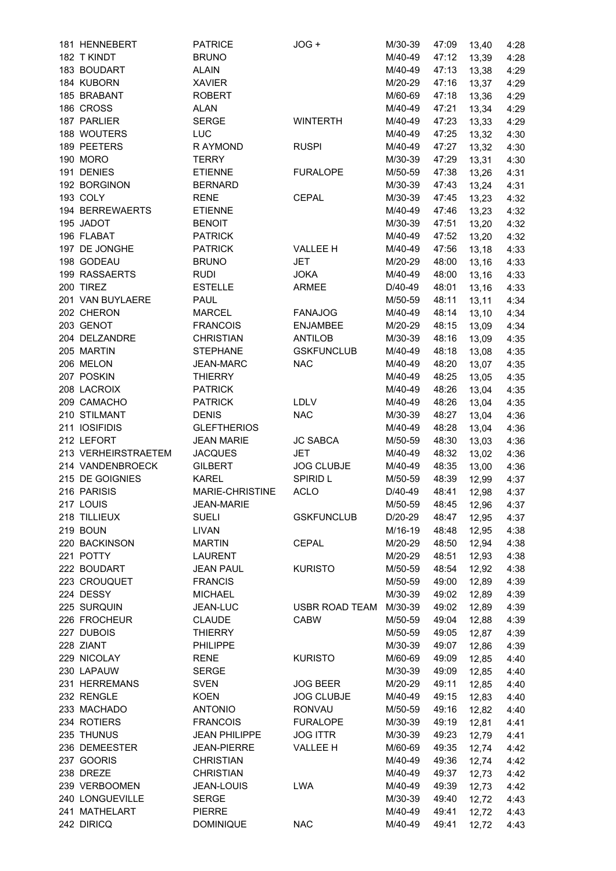| 181 HENNEBERT               | <b>PATRICE</b>                    | JOG +                 | M/30-39            | 47:09          | 13,40          | 4:28         |
|-----------------------------|-----------------------------------|-----------------------|--------------------|----------------|----------------|--------------|
| 182 T KINDT                 | <b>BRUNO</b>                      |                       | M/40-49            | 47:12          | 13,39          | 4:28         |
| 183 BOUDART                 | <b>ALAIN</b>                      |                       | M/40-49            | 47:13          | 13,38          | 4:29         |
| 184 KUBORN                  | <b>XAVIER</b>                     |                       | M/20-29            | 47:16          | 13,37          | 4:29         |
| 185 BRABANT                 | <b>ROBERT</b>                     |                       | M/60-69            | 47:18          | 13,36          | 4:29         |
| 186 CROSS                   | <b>ALAN</b>                       |                       | M/40-49            | 47:21          | 13,34          | 4:29         |
| 187 PARLIER                 | <b>SERGE</b>                      | <b>WINTERTH</b>       | M/40-49            | 47:23          | 13,33          | 4:29         |
| 188 WOUTERS                 | <b>LUC</b>                        |                       | M/40-49            | 47:25          | 13,32          | 4:30         |
| 189 PEETERS                 | R AYMOND                          | <b>RUSPI</b>          | M/40-49            | 47:27          | 13,32          | 4:30         |
| 190 MORO                    | <b>TERRY</b>                      |                       | M/30-39            | 47:29          | 13,31          | 4:30         |
| 191 DENIES                  | <b>ETIENNE</b>                    | <b>FURALOPE</b>       | M/50-59            | 47:38          | 13,26          | 4:31         |
| 192 BORGINON                | <b>BERNARD</b>                    |                       | M/30-39            | 47:43          | 13,24          | 4:31         |
| 193 COLY                    | <b>RENE</b>                       | <b>CEPAL</b>          | M/30-39            | 47:45          | 13,23          | 4:32         |
| 194 BERREWAERTS             | <b>ETIENNE</b>                    |                       | M/40-49            | 47:46          | 13,23          | 4:32         |
| 195 JADOT                   | <b>BENOIT</b>                     |                       | M/30-39            | 47:51          | 13,20          | 4:32         |
| 196 FLABAT                  | <b>PATRICK</b>                    |                       | M/40-49            | 47:52          | 13,20          | 4:32         |
| 197 DE JONGHE               | <b>PATRICK</b>                    | <b>VALLEE H</b>       | M/40-49            | 47:56          | 13,18          | 4:33         |
| 198 GODEAU                  | <b>BRUNO</b>                      | <b>JET</b>            | M/20-29            | 48:00          | 13,16          | 4:33         |
| 199 RASSAERTS               | <b>RUDI</b>                       | <b>JOKA</b>           | M/40-49            | 48:00          | 13,16          | 4:33         |
| 200 TIREZ                   | <b>ESTELLE</b>                    | <b>ARMEE</b>          | D/40-49            | 48:01          | 13,16          | 4:33         |
| 201 VAN BUYLAERE            | PAUL                              |                       | M/50-59            | 48:11          | 13,11          | 4:34         |
| 202 CHERON                  | <b>MARCEL</b>                     | <b>FANAJOG</b>        | M/40-49            | 48:14          | 13,10          | 4:34         |
| 203 GENOT                   | <b>FRANCOIS</b>                   | <b>ENJAMBEE</b>       | M/20-29            | 48:15          | 13,09          | 4:34         |
| 204 DELZANDRE               | <b>CHRISTIAN</b>                  | <b>ANTILOB</b>        | M/30-39            | 48:16          | 13,09          | 4:35         |
| 205 MARTIN                  | <b>STEPHANE</b>                   | <b>GSKFUNCLUB</b>     | M/40-49            | 48:18          |                |              |
| 206 MELON                   | JEAN-MARC                         | <b>NAC</b>            | M/40-49            | 48:20          | 13,08          | 4:35         |
| 207 POSKIN                  |                                   |                       |                    |                | 13,07          | 4:35         |
|                             | <b>THIERRY</b>                    |                       | M/40-49            | 48:25          | 13,05          | 4:35         |
| 208 LACROIX                 | <b>PATRICK</b>                    |                       | M/40-49            | 48:26          | 13,04          | 4:35         |
| 209 CAMACHO                 | <b>PATRICK</b>                    | LDLV                  | M/40-49            | 48:26          | 13,04          | 4:35         |
| 210 STILMANT                | <b>DENIS</b>                      | <b>NAC</b>            | M/30-39            | 48:27          | 13,04          | 4:36         |
| 211 IOSIFIDIS               | <b>GLEFTHERIOS</b>                |                       | M/40-49            | 48:28          | 13,04          | 4:36         |
| 212 LEFORT                  | <b>JEAN MARIE</b>                 | <b>JC SABCA</b>       | M/50-59            | 48:30          | 13,03          | 4:36         |
| 213 VERHEIRSTRAETEM         | <b>JACQUES</b>                    | <b>JET</b>            | M/40-49            | 48:32          | 13,02          | 4:36         |
| 214 VANDENBROECK            | <b>GILBERT</b>                    | <b>JOG CLUBJE</b>     | M/40-49            | 48:35          | 13,00          | 4:36         |
| 215 DE GOIGNIES             | <b>KAREL</b>                      | SPIRID L              | M/50-59            | 48:39          | 12,99          | 4:37         |
| 216 PARISIS                 | MARIE-CHRISTINE                   | <b>ACLO</b>           | D/40-49            | 48:41          | 12,98          | 4:37         |
| 217 LOUIS                   | <b>JEAN-MARIE</b>                 |                       | M/50-59            | 48:45          | 12,96          | 4:37         |
| 218 TILLIEUX                | <b>SUELI</b>                      | <b>GSKFUNCLUB</b>     | D/20-29            | 48:47          | 12,95          | 4:37         |
|                             |                                   |                       |                    |                |                |              |
| 219 BOUN                    | <b>LIVAN</b>                      |                       | M/16-19            | 48:48          | 12,95          | 4:38         |
| 220 BACKINSON               | <b>MARTIN</b>                     | <b>CEPAL</b>          | M/20-29            | 48:50          | 12,94          | 4:38         |
| 221 POTTY                   | LAURENT                           |                       | M/20-29            | 48:51          | 12,93          | 4:38         |
| 222 BOUDART                 | <b>JEAN PAUL</b>                  | <b>KURISTO</b>        | M/50-59            | 48:54          | 12,92          | 4:38         |
| 223 CROUQUET                | <b>FRANCIS</b>                    |                       | M/50-59            | 49:00          | 12,89          | 4:39         |
| 224 DESSY                   | <b>MICHAEL</b>                    |                       | M/30-39            | 49:02          | 12,89          | 4:39         |
| 225 SURQUIN                 | JEAN-LUC                          | <b>USBR ROAD TEAM</b> | M/30-39            | 49:02          | 12,89          | 4:39         |
| 226 FROCHEUR                | <b>CLAUDE</b>                     | <b>CABW</b>           | M/50-59            | 49:04          | 12,88          | 4:39         |
| 227 DUBOIS                  | <b>THIERRY</b>                    |                       | M/50-59            | 49:05          | 12,87          | 4:39         |
| 228 ZIANT                   | <b>PHILIPPE</b>                   |                       | M/30-39            | 49:07          | 12,86          | 4:39         |
| 229 NICOLAY                 | <b>RENE</b>                       | <b>KURISTO</b>        | M/60-69            | 49:09          | 12,85          | 4:40         |
| 230 LAPAUW                  | <b>SERGE</b>                      |                       | M/30-39            | 49:09          |                |              |
| 231 HERREMANS               |                                   |                       |                    |                | 12,85          | 4:40         |
|                             | <b>SVEN</b>                       | <b>JOG BEER</b>       | M/20-29            | 49:11          | 12,85          | 4:40         |
| 232 RENGLE                  | <b>KOEN</b>                       | <b>JOG CLUBJE</b>     | M/40-49            | 49:15          | 12,83          | 4:40         |
| 233 MACHADO                 | <b>ANTONIO</b>                    | RONVAU                | M/50-59            | 49:16          | 12,82          | 4:40         |
| 234 ROTIERS                 | <b>FRANCOIS</b>                   | <b>FURALOPE</b>       | M/30-39            | 49:19          | 12,81          | 4:41         |
| 235 THUNUS                  | <b>JEAN PHILIPPE</b>              | <b>JOG ITTR</b>       | M/30-39            | 49:23          | 12,79          | 4:41         |
| 236 DEMEESTER               | <b>JEAN-PIERRE</b>                | <b>VALLEE H</b>       | M/60-69            | 49:35          | 12,74          | 4:42         |
| 237 GOORIS                  | <b>CHRISTIAN</b>                  |                       | M/40-49            | 49:36          | 12,74          | 4:42         |
| 238 DREZE                   | <b>CHRISTIAN</b>                  |                       | M/40-49            | 49:37          | 12,73          | 4:42         |
| 239 VERBOOMEN               | JEAN-LOUIS                        | <b>LWA</b>            | M/40-49            | 49:39          | 12,73          | 4:42         |
| 240 LONGUEVILLE             | <b>SERGE</b>                      |                       | M/30-39            | 49:40          | 12,72          | 4:43         |
| 241 MATHELART<br>242 DIRICQ | <b>PIERRE</b><br><b>DOMINIQUE</b> | <b>NAC</b>            | M/40-49<br>M/40-49 | 49:41<br>49:41 | 12,72<br>12,72 | 4:43<br>4:43 |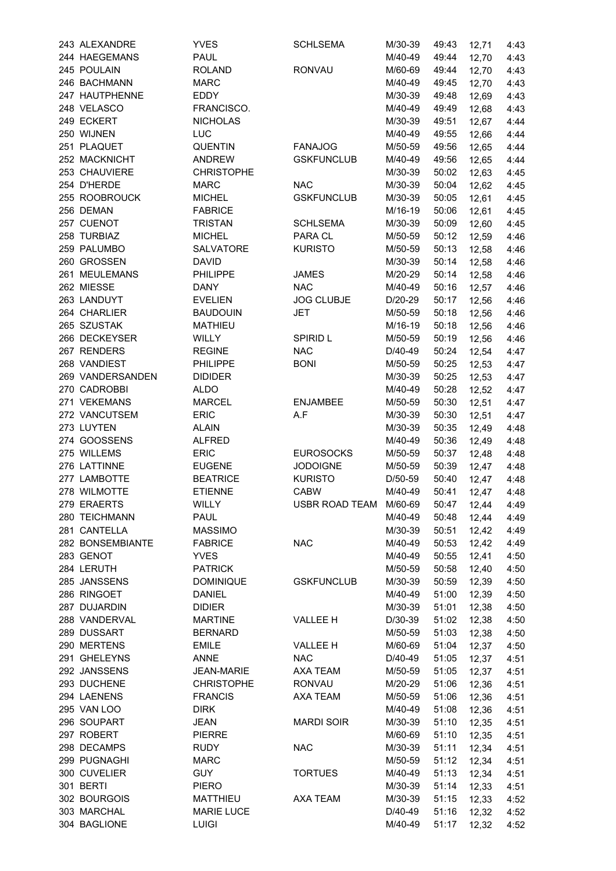| 243 ALEXANDRE    | <b>YVES</b>       | <b>SCHLSEMA</b>        | M/30-39 | 49:43 | 12,71       | 4:43 |
|------------------|-------------------|------------------------|---------|-------|-------------|------|
| 244 HAEGEMANS    | <b>PAUL</b>       |                        | M/40-49 | 49:44 | 12,70       | 4:43 |
| 245 POULAIN      | <b>ROLAND</b>     | <b>RONVAU</b>          | M/60-69 | 49:44 | 12,70       | 4:43 |
| 246 BACHMANN     | <b>MARC</b>       |                        | M/40-49 | 49:45 | 12,70       | 4:43 |
| 247 HAUTPHENNE   | EDDY              |                        | M/30-39 | 49:48 | 12,69       | 4:43 |
| 248 VELASCO      | FRANCISCO.        |                        | M/40-49 | 49:49 | 12,68       | 4:43 |
| 249 ECKERT       | <b>NICHOLAS</b>   |                        | M/30-39 | 49:51 | 12,67       | 4:44 |
| 250 WIJNEN       | LUC               |                        | M/40-49 | 49:55 | 12,66       | 4:44 |
| 251 PLAQUET      | <b>QUENTIN</b>    | <b>FANAJOG</b>         | M/50-59 | 49:56 | 12,65       | 4:44 |
|                  |                   |                        |         |       |             |      |
| 252 MACKNICHT    | <b>ANDREW</b>     | <b>GSKFUNCLUB</b>      | M/40-49 | 49:56 | 12,65       | 4:44 |
| 253 CHAUVIERE    | <b>CHRISTOPHE</b> |                        | M/30-39 | 50:02 | 12,63       | 4:45 |
| 254 D'HERDE      | <b>MARC</b>       | <b>NAC</b>             | M/30-39 | 50:04 | 12,62       | 4:45 |
| 255 ROOBROUCK    | <b>MICHEL</b>     | <b>GSKFUNCLUB</b>      | M/30-39 | 50:05 | 12,61       | 4:45 |
| 256 DEMAN        | <b>FABRICE</b>    |                        | M/16-19 | 50:06 | 12,61       | 4:45 |
| 257 CUENOT       | <b>TRISTAN</b>    | <b>SCHLSEMA</b>        | M/30-39 | 50:09 | 12,60       | 4:45 |
| 258 TURBIAZ      | <b>MICHEL</b>     | PARA CL                | M/50-59 | 50:12 | 12,59       | 4:46 |
| 259 PALUMBO      | <b>SALVATORE</b>  | <b>KURISTO</b>         | M/50-59 | 50:13 | 12,58       | 4:46 |
| 260 GROSSEN      | <b>DAVID</b>      |                        | M/30-39 | 50:14 | 12,58       | 4:46 |
| 261 MEULEMANS    | PHILIPPE          | <b>JAMES</b>           | M/20-29 | 50:14 | 12,58       | 4:46 |
| 262 MIESSE       | <b>DANY</b>       | <b>NAC</b>             | M/40-49 | 50:16 | 12,57       | 4:46 |
| 263 LANDUYT      | <b>EVELIEN</b>    | <b>JOG CLUBJE</b>      | D/20-29 | 50:17 | 12,56       | 4:46 |
| 264 CHARLIER     | <b>BAUDOUIN</b>   | <b>JET</b>             | M/50-59 | 50:18 | 12,56       | 4:46 |
| 265 SZUSTAK      | <b>MATHIEU</b>    |                        | M/16-19 | 50:18 | 12,56       | 4:46 |
| 266 DECKEYSER    | WILLY             | <b>SPIRID L</b>        | M/50-59 | 50:19 | 12,56       | 4:46 |
| 267 RENDERS      | <b>REGINE</b>     | <b>NAC</b>             | D/40-49 | 50:24 | 12,54       | 4:47 |
| 268 VANDIEST     | <b>PHILIPPE</b>   | <b>BONI</b>            | M/50-59 | 50:25 |             |      |
|                  |                   |                        |         |       | 12,53       | 4:47 |
| 269 VANDERSANDEN | <b>DIDIDER</b>    |                        | M/30-39 | 50:25 | 12,53       | 4:47 |
| 270 CADROBBI     | <b>ALDO</b>       |                        | M/40-49 | 50:28 | 12,52       | 4:47 |
| 271 VEKEMANS     | <b>MARCEL</b>     | <b>ENJAMBEE</b>        | M/50-59 | 50:30 | 12,51       | 4:47 |
| 272 VANCUTSEM    | <b>ERIC</b>       | A.F                    | M/30-39 | 50:30 | 12,51       | 4:47 |
| 273 LUYTEN       | <b>ALAIN</b>      |                        | M/30-39 | 50:35 | 12,49       | 4:48 |
| 274 GOOSSENS     | <b>ALFRED</b>     |                        | M/40-49 | 50:36 | 12,49       | 4:48 |
| 275 WILLEMS      | <b>ERIC</b>       | <b>EUROSOCKS</b>       | M/50-59 | 50:37 | 12,48       | 4:48 |
| 276 LATTINNE     | <b>EUGENE</b>     | <b>JODOIGNE</b>        | M/50-59 | 50:39 | 12,47       | 4:48 |
| 277 LAMBOTTE     | <b>BEATRICE</b>   | <b>KURISTO</b>         | D/50-59 | 50:40 | 12,47       | 4:48 |
| 278 WILMOTTE     | <b>ETIENNE</b>    | <b>CABW</b>            | M/40-49 | 50:41 | 12,47       | 4:48 |
| 279 ERAERTS      | WILLY             | USBR ROAD TEAM M/60-69 |         |       | 50:47 12,44 | 4:49 |
| 280 TEICHMANN    | <b>PAUL</b>       |                        | M/40-49 | 50:48 | 12,44       | 4:49 |
| 281 CANTELLA     | <b>MASSIMO</b>    |                        | M/30-39 | 50:51 | 12,42       | 4:49 |
| 282 BONSEMBIANTE | <b>FABRICE</b>    | <b>NAC</b>             | M/40-49 | 50:53 | 12,42       | 4:49 |
| 283 GENOT        | <b>YVES</b>       |                        | M/40-49 | 50:55 | 12,41       | 4:50 |
| 284 LERUTH       | <b>PATRICK</b>    |                        | M/50-59 | 50:58 | 12,40       | 4:50 |
| 285 JANSSENS     | <b>DOMINIQUE</b>  | <b>GSKFUNCLUB</b>      | M/30-39 | 50:59 | 12,39       | 4:50 |
| 286 RINGOET      | DANIEL            |                        | M/40-49 | 51:00 | 12,39       | 4:50 |
| 287 DUJARDIN     | <b>DIDIER</b>     |                        | M/30-39 | 51:01 | 12,38       | 4:50 |
| 288 VANDERVAL    | <b>MARTINE</b>    |                        | D/30-39 | 51:02 |             |      |
|                  |                   | <b>VALLEE H</b>        |         |       | 12,38       | 4:50 |
| 289 DUSSART      | <b>BERNARD</b>    |                        | M/50-59 | 51:03 | 12,38       | 4:50 |
| 290 MERTENS      | <b>EMILE</b>      | <b>VALLEE H</b>        | M/60-69 | 51:04 | 12,37       | 4:50 |
| 291 GHELEYNS     | ANNE              | <b>NAC</b>             | D/40-49 | 51:05 | 12,37       | 4:51 |
| 292 JANSSENS     | <b>JEAN-MARIE</b> | AXA TEAM               | M/50-59 | 51:05 | 12,37       | 4:51 |
| 293 DUCHENE      | <b>CHRISTOPHE</b> | RONVAU                 | M/20-29 | 51:06 | 12,36       | 4:51 |
| 294 LAENENS      | <b>FRANCIS</b>    | AXA TEAM               | M/50-59 | 51:06 | 12,36       | 4:51 |
| 295 VAN LOO      | <b>DIRK</b>       |                        | M/40-49 | 51:08 | 12,36       | 4:51 |
| 296 SOUPART      | <b>JEAN</b>       | <b>MARDI SOIR</b>      | M/30-39 | 51:10 | 12,35       | 4:51 |
| 297 ROBERT       | <b>PIERRE</b>     |                        | M/60-69 | 51:10 | 12,35       | 4:51 |
| 298 DECAMPS      | <b>RUDY</b>       | <b>NAC</b>             | M/30-39 | 51:11 | 12,34       | 4:51 |
| 299 PUGNAGHI     | <b>MARC</b>       |                        | M/50-59 | 51:12 | 12,34       | 4:51 |
| 300 CUVELIER     | <b>GUY</b>        | <b>TORTUES</b>         | M/40-49 | 51:13 | 12,34       | 4:51 |
| 301 BERTI        | <b>PIERO</b>      |                        | M/30-39 | 51:14 | 12,33       | 4:51 |
| 302 BOURGOIS     | <b>MATTHIEU</b>   | AXA TEAM               | M/30-39 | 51:15 | 12,33       | 4:52 |
| 303 MARCHAL      | <b>MARIE LUCE</b> |                        | D/40-49 | 51:16 | 12,32       | 4:52 |
| 304 BAGLIONE     | <b>LUIGI</b>      |                        | M/40-49 | 51:17 | 12,32       | 4:52 |
|                  |                   |                        |         |       |             |      |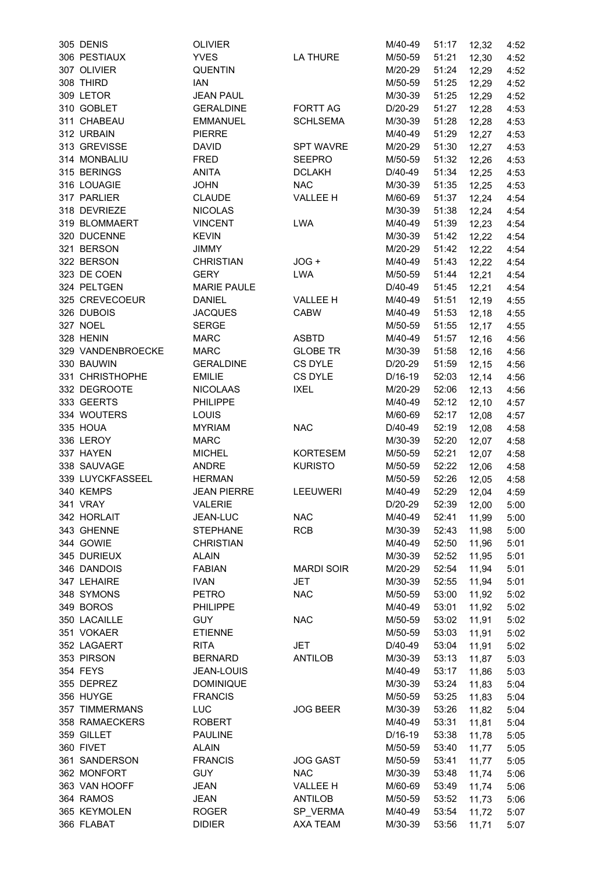| 305 DENIS         | <b>OLIVIER</b>     |                   | M/40-49 | 51:17 | 12,32          | 4:52 |
|-------------------|--------------------|-------------------|---------|-------|----------------|------|
| 306 PESTIAUX      | <b>YVES</b>        | <b>LA THURE</b>   | M/50-59 | 51:21 | 12,30          | 4:52 |
| 307 OLIVIER       | <b>QUENTIN</b>     |                   | M/20-29 | 51:24 | 12,29          | 4:52 |
| 308 THIRD         | <b>IAN</b>         |                   | M/50-59 | 51:25 | 12,29          | 4:52 |
| 309 LETOR         | <b>JEAN PAUL</b>   |                   | M/30-39 | 51:25 | 12,29          | 4:52 |
| 310 GOBLET        | <b>GERALDINE</b>   | <b>FORTT AG</b>   | D/20-29 | 51:27 | 12,28          | 4:53 |
| 311 CHABEAU       | <b>EMMANUEL</b>    | <b>SCHLSEMA</b>   | M/30-39 | 51:28 | 12,28          | 4:53 |
| 312 URBAIN        | <b>PIERRE</b>      |                   | M/40-49 | 51:29 | 12,27          | 4:53 |
| 313 GREVISSE      | <b>DAVID</b>       | <b>SPT WAVRE</b>  | M/20-29 | 51:30 | 12,27          | 4:53 |
| 314 MONBALIU      | <b>FRED</b>        | <b>SEEPRO</b>     | M/50-59 | 51:32 | 12,26          | 4:53 |
| 315 BERINGS       | <b>ANITA</b>       | <b>DCLAKH</b>     | D/40-49 | 51:34 | 12,25          | 4:53 |
| 316 LOUAGIE       | <b>JOHN</b>        | <b>NAC</b>        | M/30-39 | 51:35 | 12,25          | 4:53 |
| 317 PARLIER       | <b>CLAUDE</b>      | <b>VALLEE H</b>   | M/60-69 | 51:37 | 12,24          | 4:54 |
| 318 DEVRIEZE      | <b>NICOLAS</b>     |                   | M/30-39 | 51:38 | 12,24          | 4:54 |
| 319 BLOMMAERT     | <b>VINCENT</b>     | <b>LWA</b>        | M/40-49 | 51:39 | 12,23          | 4:54 |
| 320 DUCENNE       | <b>KEVIN</b>       |                   | M/30-39 | 51:42 | 12,22          | 4:54 |
| 321 BERSON        | JIMMY              |                   | M/20-29 | 51:42 | 12,22          | 4:54 |
| 322 BERSON        | <b>CHRISTIAN</b>   | JOG +             | M/40-49 | 51:43 | 12,22          | 4:54 |
| 323 DE COEN       | <b>GERY</b>        | <b>LWA</b>        | M/50-59 | 51:44 | 12,21          | 4:54 |
| 324 PELTGEN       | <b>MARIE PAULE</b> |                   | D/40-49 | 51:45 | 12,21          | 4:54 |
| 325 CREVECOEUR    | <b>DANIEL</b>      | <b>VALLEE H</b>   | M/40-49 | 51:51 | 12,19          | 4:55 |
| 326 DUBOIS        | <b>JACQUES</b>     | <b>CABW</b>       | M/40-49 | 51:53 | 12,18          | 4:55 |
| 327 NOEL          | <b>SERGE</b>       |                   | M/50-59 | 51:55 | 12,17          | 4:55 |
| 328 HENIN         | <b>MARC</b>        | <b>ASBTD</b>      | M/40-49 | 51:57 | 12,16          | 4:56 |
| 329 VANDENBROECKE | MARC               | <b>GLOBE TR</b>   | M/30-39 | 51:58 | 12,16          | 4:56 |
| 330 BAUWIN        | <b>GERALDINE</b>   | CS DYLE           | D/20-29 | 51:59 | 12,15          | 4:56 |
| 331 CHRISTHOPHE   | <b>EMILIE</b>      | CS DYLE           | D/16-19 | 52:03 | 12,14          | 4:56 |
| 332 DEGROOTE      | <b>NICOLAAS</b>    | <b>IXEL</b>       | M/20-29 | 52:06 | 12, 13         | 4:56 |
| 333 GEERTS        | <b>PHILIPPE</b>    |                   | M/40-49 | 52:12 | 12,10          | 4:57 |
| 334 WOUTERS       | LOUIS              |                   | M/60-69 | 52:17 |                |      |
| 335 HOUA          | <b>MYRIAM</b>      | <b>NAC</b>        | D/40-49 | 52:19 | 12,08<br>12,08 | 4:57 |
| 336 LEROY         | <b>MARC</b>        |                   | M/30-39 | 52:20 |                | 4:58 |
| 337 HAYEN         |                    |                   |         | 52:21 | 12,07          | 4:58 |
| 338 SAUVAGE       | <b>MICHEL</b>      | <b>KORTESEM</b>   | M/50-59 |       | 12,07          | 4:58 |
| 339 LUYCKFASSEEL  | ANDRE              | <b>KURISTO</b>    | M/50-59 | 52:22 | 12,06          | 4:58 |
| 340 KEMPS         | <b>HERMAN</b>      |                   | M/50-59 | 52:26 | 12,05          | 4:58 |
|                   | <b>JEAN PIERRE</b> | <b>LEEUWERI</b>   | M/40-49 | 52:29 | 12,04          | 4:59 |
| 341 VRAY          | VALERIE            |                   | D/20-29 |       | 52:39 12,00    | 5:00 |
| 342 HORLAIT       | JEAN-LUC           | <b>NAC</b>        | M/40-49 | 52:41 | 11,99          | 5:00 |
| 343 GHENNE        | <b>STEPHANE</b>    | <b>RCB</b>        | M/30-39 | 52:43 | 11,98          | 5:00 |
| 344 GOWIE         | <b>CHRISTIAN</b>   |                   | M/40-49 | 52:50 | 11,96          | 5:01 |
| 345 DURIEUX       | <b>ALAIN</b>       |                   | M/30-39 | 52:52 | 11,95          | 5:01 |
| 346 DANDOIS       | <b>FABIAN</b>      | <b>MARDI SOIR</b> | M/20-29 | 52:54 | 11,94          | 5:01 |
| 347 LEHAIRE       | <b>IVAN</b>        | JET               | M/30-39 | 52:55 | 11,94          | 5:01 |
| 348 SYMONS        | <b>PETRO</b>       | <b>NAC</b>        | M/50-59 | 53:00 | 11,92          | 5:02 |
| 349 BOROS         | PHILIPPE           |                   | M/40-49 | 53:01 | 11,92          | 5:02 |
| 350 LACAILLE      | <b>GUY</b>         | <b>NAC</b>        | M/50-59 | 53:02 | 11,91          | 5:02 |
| 351 VOKAER        | <b>ETIENNE</b>     |                   | M/50-59 | 53:03 | 11,91          | 5:02 |
| 352 LAGAERT       | <b>RITA</b>        | JET               | D/40-49 | 53:04 | 11,91          | 5:02 |
| 353 PIRSON        | <b>BERNARD</b>     | <b>ANTILOB</b>    | M/30-39 | 53:13 | 11,87          | 5:03 |
| 354 FEYS          | JEAN-LOUIS         |                   | M/40-49 | 53:17 | 11,86          | 5:03 |
| 355 DEPREZ        | <b>DOMINIQUE</b>   |                   | M/30-39 | 53:24 | 11,83          | 5:04 |
| 356 HUYGE         | <b>FRANCIS</b>     |                   | M/50-59 | 53:25 | 11,83          | 5:04 |
| 357 TIMMERMANS    | LUC                | <b>JOG BEER</b>   | M/30-39 | 53:26 | 11,82          | 5:04 |
| 358 RAMAECKERS    | <b>ROBERT</b>      |                   | M/40-49 | 53:31 | 11,81          | 5:04 |
| 359 GILLET        | <b>PAULINE</b>     |                   | D/16-19 | 53:38 | 11,78          | 5:05 |
| 360 FIVET         | <b>ALAIN</b>       |                   | M/50-59 | 53:40 | 11,77          | 5:05 |
| 361 SANDERSON     | <b>FRANCIS</b>     | <b>JOG GAST</b>   | M/50-59 | 53:41 | 11,77          | 5:05 |
| 362 MONFORT       | <b>GUY</b>         | <b>NAC</b>        | M/30-39 | 53:48 | 11,74          | 5:06 |
| 363 VAN HOOFF     | <b>JEAN</b>        | VALLEE H          | M/60-69 | 53:49 | 11,74          | 5:06 |
| 364 RAMOS         | <b>JEAN</b>        | <b>ANTILOB</b>    | M/50-59 | 53:52 | 11,73          | 5:06 |
| 365 KEYMOLEN      | <b>ROGER</b>       | SP_VERMA          | M/40-49 | 53:54 | 11,72          | 5:07 |
| 366 FLABAT        | <b>DIDIER</b>      | AXA TEAM          | M/30-39 | 53:56 | 11,71          | 5:07 |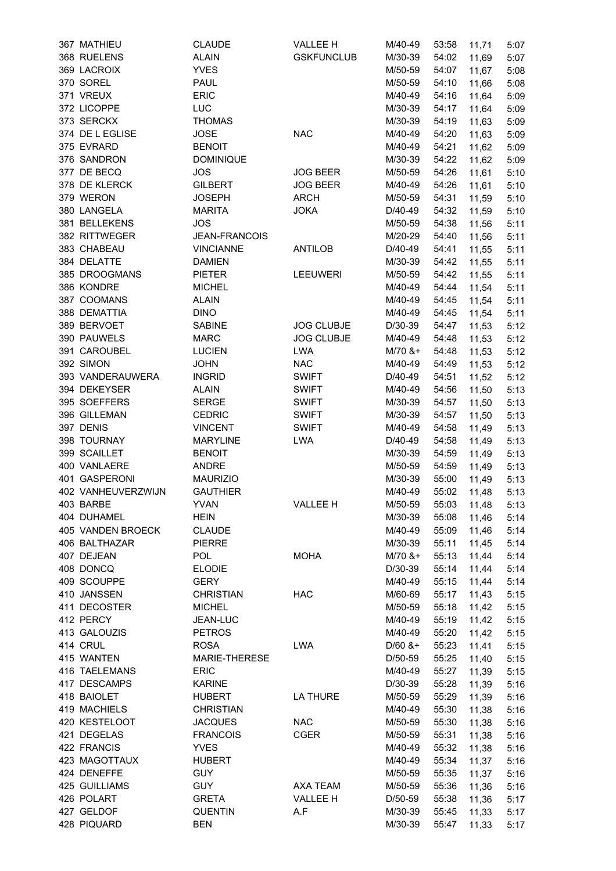| 367 MATHIEU               | <b>CLAUDE</b>                | VALLEE H          | M/40-49   | 53:58          | 11,71       | 5:07         |
|---------------------------|------------------------------|-------------------|-----------|----------------|-------------|--------------|
| 368 RUELENS               | <b>ALAIN</b>                 | <b>GSKFUNCLUB</b> | M/30-39   | 54:02          | 11,69       | 5:07         |
| 369 LACROIX               | <b>YVES</b>                  |                   | M/50-59   | 54:07          | 11,67       | 5:08         |
| 370 SOREL                 | PAUL                         |                   | M/50-59   | 54:10          | 11,66       | 5:08         |
| 371 VREUX                 | ERIC                         |                   | M/40-49   | 54:16          | 11,64       | 5:09         |
| 372 LICOPPE               | <b>LUC</b>                   |                   | M/30-39   | 54:17          | 11,64       | 5:09         |
| 373 SERCKX                | <b>THOMAS</b>                |                   | M/30-39   | 54:19          | 11,63       | 5:09         |
| 374 DE L EGLISE           | <b>JOSE</b>                  | <b>NAC</b>        | M/40-49   | 54:20          | 11,63       | 5:09         |
| 375 EVRARD                | <b>BENOIT</b>                |                   | M/40-49   | 54:21          | 11,62       | 5:09         |
| 376 SANDRON               | <b>DOMINIQUE</b>             |                   | M/30-39   | 54:22          | 11,62       | 5:09         |
| 377 DE BECQ               | <b>JOS</b>                   | <b>JOG BEER</b>   | M/50-59   | 54:26          | 11,61       | 5:10         |
| 378 DE KLERCK             | <b>GILBERT</b>               | <b>JOG BEER</b>   | M/40-49   | 54:26          | 11,61       | 5:10         |
| 379 WERON                 | <b>JOSEPH</b>                | <b>ARCH</b>       | M/50-59   | 54:31          | 11,59       | 5:10         |
| 380 LANGELA               | <b>MARITA</b>                | <b>JOKA</b>       | D/40-49   | 54:32          | 11,59       | 5:10         |
| 381 BELLEKENS             | <b>JOS</b>                   |                   | M/50-59   | 54:38          | 11,56       | 5:11         |
| 382 RITTWEGER             | <b>JEAN-FRANCOIS</b>         |                   | M/20-29   | 54:40          | 11,56       | 5:11         |
| 383 CHABEAU               | <b>VINCIANNE</b>             | <b>ANTILOB</b>    | D/40-49   | 54:41          | 11,55       | 5:11         |
| 384 DELATTE               | <b>DAMIEN</b>                |                   | M/30-39   | 54:42          | 11,55       | 5:11         |
| 385 DROOGMANS             | <b>PIETER</b>                | <b>LEEUWERI</b>   | M/50-59   | 54:42          | 11,55       | 5:11         |
| 386 KONDRE                | <b>MICHEL</b>                |                   | M/40-49   | 54:44          | 11,54       | 5:11         |
| 387 COOMANS               | <b>ALAIN</b>                 |                   | M/40-49   | 54:45          | 11,54       | 5:11         |
| 388 DEMATTIA              | <b>DINO</b>                  |                   | M/40-49   | 54:45          | 11,54       | 5:11         |
| 389 BERVOET               | <b>SABINE</b>                | <b>JOG CLUBJE</b> | D/30-39   | 54:47          | 11,53       | 5:12         |
| 390 PAUWELS               | <b>MARC</b>                  | <b>JOG CLUBJE</b> | M/40-49   | 54:48          | 11,53       | 5:12         |
| 391 CAROUBEL              | <b>LUCIEN</b>                | LWA               | $M/70$ &+ | 54:48          | 11,53       | 5:12         |
| 392 SIMON                 | <b>JOHN</b>                  | <b>NAC</b>        | M/40-49   | 54:49          | 11,53       | 5:12         |
| 393 VANDERAUWERA          | <b>INGRID</b>                | <b>SWIFT</b>      | D/40-49   | 54:51          | 11,52       | 5:12         |
| 394 DEKEYSER              | <b>ALAIN</b>                 | <b>SWIFT</b>      | M/40-49   | 54:56          | 11,50       | 5:13         |
| 395 SOEFFERS              | <b>SERGE</b>                 | <b>SWIFT</b>      | M/30-39   | 54:57          | 11,50       | 5:13         |
| 396 GILLEMAN              | <b>CEDRIC</b>                | <b>SWIFT</b>      | M/30-39   | 54:57          | 11,50       | 5:13         |
| 397 DENIS                 | <b>VINCENT</b>               | <b>SWIFT</b>      | M/40-49   | 54:58          | 11,49       | 5:13         |
| 398 TOURNAY               | <b>MARYLINE</b>              | <b>LWA</b>        | D/40-49   | 54:58          | 11,49       | 5:13         |
| 399 SCAILLET              | <b>BENOIT</b>                |                   | M/30-39   | 54:59          | 11,49       | 5:13         |
| 400 VANLAERE              | ANDRE                        |                   | M/50-59   | 54:59          | 11,49       | 5:13         |
| 401 GASPERONI             | <b>MAURIZIO</b>              |                   | M/30-39   | 55:00          | 11,49       | 5:13         |
| 402 VANHEUVERZWIJN        | <b>GAUTHIER</b>              |                   | M/40-49   | 55:02          | 11,48       | 5:13         |
| 403 BARBE                 | YVAN                         | VALLEE H          | M/50-59   |                | 55:03 11,48 | 5:13         |
| 404 DUHAMEL               | <b>HEIN</b>                  |                   | M/30-39   | 55:08          | 11,46       | 5:14         |
| 405 VANDEN BROECK         | <b>CLAUDE</b>                |                   | M/40-49   | 55:09          | 11,46       | 5:14         |
| 406 BALTHAZAR             | <b>PIERRE</b>                |                   | M/30-39   | 55:11          |             | 5:14         |
| 407 DEJEAN                |                              |                   | $M/70$ &+ |                | 11,45       |              |
| 408 DONCQ                 | <b>POL</b>                   | MOHA              |           | 55:13<br>55:14 | 11,44       | 5:14<br>5:14 |
| 409 SCOUPPE               | <b>ELODIE</b><br><b>GERY</b> |                   | D/30-39   |                | 11,44       |              |
|                           |                              | <b>HAC</b>        | M/40-49   | 55:15          | 11,44       | 5:14         |
| 410 JANSSEN               | <b>CHRISTIAN</b>             |                   | M/60-69   | 55:17          | 11,43       | 5:15         |
| 411 DECOSTER<br>412 PERCY | <b>MICHEL</b>                |                   | M/50-59   | 55:18          | 11,42       | 5:15         |
|                           | JEAN-LUC                     |                   | M/40-49   | 55:19          | 11,42       | 5:15         |
| 413 GALOUZIS              | <b>PETROS</b>                |                   | M/40-49   | 55:20          | 11,42       | 5:15         |
| 414 CRUL                  | <b>ROSA</b>                  | LWA               | $D/60$ &+ | 55:23          | 11,41       | 5:15         |
| 415 WANTEN                | MARIE-THERESE                |                   | D/50-59   | 55:25          | 11,40       | 5:15         |
| 416 TAELEMANS             | <b>ERIC</b>                  |                   | M/40-49   | 55:27          | 11,39       | 5:15         |
| 417 DESCAMPS              | <b>KARINE</b>                |                   | D/30-39   | 55:28          | 11,39       | 5:16         |
| 418 BAIOLET               | <b>HUBERT</b>                | LA THURE          | M/50-59   | 55:29          | 11,39       | 5:16         |
| 419 MACHIELS              | <b>CHRISTIAN</b>             |                   | M/40-49   | 55:30          | 11,38       | 5:16         |
| 420 KESTELOOT             | <b>JACQUES</b>               | <b>NAC</b>        | M/50-59   | 55:30          | 11,38       | 5:16         |
| 421 DEGELAS               | <b>FRANCOIS</b>              | <b>CGER</b>       | M/50-59   | 55:31          | 11,38       | 5:16         |
| 422 FRANCIS               | <b>YVES</b>                  |                   | M/40-49   | 55:32          | 11,38       | 5:16         |
| 423 MAGOTTAUX             | <b>HUBERT</b>                |                   | M/40-49   | 55:34          | 11,37       | 5:16         |
| 424 DENEFFE               | <b>GUY</b>                   |                   | M/50-59   | 55:35          | 11,37       | 5:16         |
| 425 GUILLIAMS             | <b>GUY</b>                   | AXA TEAM          | M/50-59   | 55:36          | 11,36       | 5:16         |
| 426 POLART                | <b>GRETA</b>                 | VALLEE H          | D/50-59   | 55:38          | 11,36       | 5:17         |
| 427 GELDOF                | <b>QUENTIN</b>               | A.F               | M/30-39   | 55:45          | 11,33       | 5:17         |
| 428 PIQUARD               | <b>BEN</b>                   |                   | M/30-39   | 55:47          | 11,33       | 5:17         |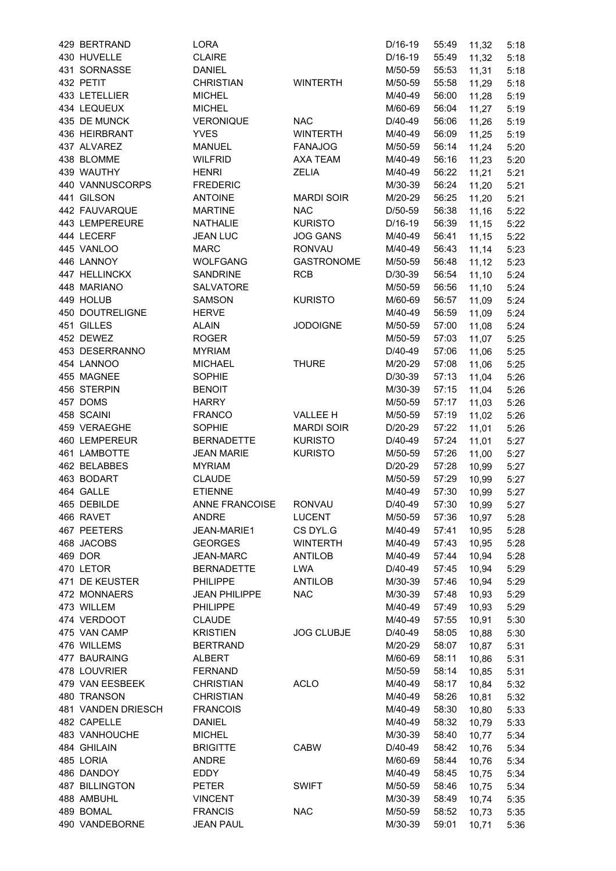| 429 BERTRAND            | LORA                 |                   | D/16-19   | 55:49 | 11,32       | 5:18 |
|-------------------------|----------------------|-------------------|-----------|-------|-------------|------|
| 430 HUVELLE             | <b>CLAIRE</b>        |                   | D/16-19   | 55:49 | 11,32       | 5:18 |
| 431 SORNASSE            | <b>DANIEL</b>        |                   | M/50-59   | 55:53 | 11,31       | 5:18 |
| 432 PETIT               | <b>CHRISTIAN</b>     | <b>WINTERTH</b>   | M/50-59   | 55:58 | 11,29       | 5:18 |
| 433 LETELLIER           | <b>MICHEL</b>        |                   | M/40-49   | 56:00 | 11,28       | 5:19 |
| 434 LEQUEUX             | <b>MICHEL</b>        |                   | M/60-69   | 56:04 | 11,27       | 5:19 |
| 435 DE MUNCK            | <b>VERONIQUE</b>     | <b>NAC</b>        | D/40-49   | 56:06 | 11,26       | 5:19 |
| 436 HEIRBRANT           | <b>YVES</b>          | <b>WINTERTH</b>   | M/40-49   | 56:09 | 11,25       | 5:19 |
| 437 ALVAREZ             | <b>MANUEL</b>        | <b>FANAJOG</b>    | M/50-59   | 56:14 | 11,24       | 5:20 |
| 438 BLOMME              | <b>WILFRID</b>       | AXA TEAM          | M/40-49   | 56:16 | 11,23       | 5:20 |
| 439 WAUTHY              | <b>HENRI</b>         | ZELIA             | M/40-49   | 56:22 | 11,21       | 5:21 |
| 440 VANNUSCORPS         | <b>FREDERIC</b>      |                   |           |       |             |      |
|                         |                      |                   | M/30-39   | 56:24 | 11,20       | 5:21 |
| 441 GILSON              | <b>ANTOINE</b>       | <b>MARDI SOIR</b> | M/20-29   | 56:25 | 11,20       | 5:21 |
| 442 FAUVARQUE           | <b>MARTINE</b>       | <b>NAC</b>        | D/50-59   | 56:38 | 11,16       | 5:22 |
| 443 LEMPEREURE          | <b>NATHALIE</b>      | <b>KURISTO</b>    | D/16-19   | 56:39 | 11,15       | 5:22 |
| 444 LECERF              | <b>JEAN LUC</b>      | <b>JOG GANS</b>   | M/40-49   | 56:41 | 11,15       | 5:22 |
| 445 VANLOO              | <b>MARC</b>          | <b>RONVAU</b>     | M/40-49   | 56:43 | 11,14       | 5:23 |
| 446 LANNOY              | <b>WOLFGANG</b>      | <b>GASTRONOME</b> | M/50-59   | 56:48 | 11,12       | 5:23 |
| 447 HELLINCKX           | <b>SANDRINE</b>      | <b>RCB</b>        | D/30-39   | 56:54 | 11,10       | 5:24 |
| 448 MARIANO             | SALVATORE            |                   | M/50-59   | 56:56 | 11,10       | 5:24 |
| 449 HOLUB               | <b>SAMSON</b>        | <b>KURISTO</b>    | M/60-69   | 56:57 | 11,09       | 5:24 |
| 450 DOUTRELIGNE         | <b>HERVE</b>         |                   | M/40-49   | 56:59 | 11,09       | 5:24 |
| 451 GILLES              | <b>ALAIN</b>         | <b>JODOIGNE</b>   | M/50-59   | 57:00 | 11,08       | 5:24 |
| 452 DEWEZ               | <b>ROGER</b>         |                   | M/50-59   | 57:03 | 11,07       | 5:25 |
| 453 DESERRANNO          | <b>MYRIAM</b>        |                   | D/40-49   | 57:06 | 11,06       | 5:25 |
| 454 LANNOO              | <b>MICHAEL</b>       | <b>THURE</b>      | M/20-29   | 57:08 | 11,06       | 5:25 |
| 455 MAGNEE              | <b>SOPHIE</b>        |                   | D/30-39   | 57:13 | 11,04       | 5:26 |
| 456 STERPIN             | <b>BENOIT</b>        |                   | M/30-39   | 57:15 | 11,04       | 5:26 |
| 457 DOMS                | <b>HARRY</b>         |                   | M/50-59   | 57:17 | 11,03       | 5:26 |
| 458 SCAINI              | <b>FRANCO</b>        | <b>VALLEE H</b>   | M/50-59   | 57:19 | 11,02       | 5:26 |
| 459 VERAEGHE            | <b>SOPHIE</b>        | <b>MARDI SOIR</b> | D/20-29   | 57:22 | 11,01       | 5:26 |
| 460 LEMPEREUR           | <b>BERNADETTE</b>    | <b>KURISTO</b>    | D/40-49   | 57:24 | 11,01       | 5:27 |
| 461 LAMBOTTE            | <b>JEAN MARIE</b>    | <b>KURISTO</b>    | M/50-59   | 57:26 |             | 5:27 |
| 462 BELABBES            | <b>MYRIAM</b>        |                   | D/20-29   | 57:28 | 11,00       |      |
|                         |                      |                   | M/50-59   |       | 10,99       | 5:27 |
| 463 BODART<br>464 GALLE | <b>CLAUDE</b>        |                   |           | 57:29 | 10,99       | 5:27 |
|                         | <b>ETIENNE</b>       |                   | M/40-49   | 57:30 | 10,99       | 5:27 |
| 465 DEBILDE             | ANNE FRANCOISE       | RONVAU            | D/40-49   |       | 57:30 10,99 | 5:27 |
| 466 RAVET               | <b>ANDRE</b>         | LUCENT            | M/50-59   | 57:36 | 10,97       | 5:28 |
| 467 PEETERS             | JEAN-MARIE1          | CS DYL.G          | M/40-49   | 57:41 | 10,95       | 5:28 |
| 468 JACOBS              | <b>GEORGES</b>       | <b>WINTERTH</b>   | M/40-49   | 57:43 | 10,95       | 5:28 |
| 469 DOR                 | <b>JEAN-MARC</b>     | <b>ANTILOB</b>    | M/40-49   | 57:44 | 10,94       | 5:28 |
| 470 LETOR               | <b>BERNADETTE</b>    | LWA               | D/40-49   | 57:45 | 10,94       | 5:29 |
| 471 DE KEUSTER          | <b>PHILIPPE</b>      | <b>ANTILOB</b>    | M/30-39   | 57:46 | 10,94       | 5:29 |
| 472 MONNAERS            | <b>JEAN PHILIPPE</b> | <b>NAC</b>        | M/30-39   | 57:48 | 10,93       | 5:29 |
| 473 WILLEM              | <b>PHILIPPE</b>      |                   | M/40-49   | 57:49 | 10,93       | 5:29 |
| 474 VERDOOT             | <b>CLAUDE</b>        |                   | M/40-49   | 57:55 | 10,91       | 5:30 |
| 475 VAN CAMP            | <b>KRISTIEN</b>      | <b>JOG CLUBJE</b> | $D/40-49$ | 58:05 | 10,88       | 5:30 |
| 476 WILLEMS             | <b>BERTRAND</b>      |                   | M/20-29   | 58:07 | 10,87       | 5:31 |
| 477 BAURAING            | <b>ALBERT</b>        |                   | M/60-69   | 58:11 | 10,86       | 5:31 |
| 478 LOUVRIER            | <b>FERNAND</b>       |                   | M/50-59   | 58:14 | 10,85       | 5:31 |
| 479 VAN EESBEEK         | <b>CHRISTIAN</b>     | <b>ACLO</b>       | M/40-49   | 58:17 | 10,84       | 5:32 |
| 480 TRANSON             | <b>CHRISTIAN</b>     |                   | M/40-49   | 58:26 | 10,81       | 5:32 |
| 481 VANDEN DRIESCH      | <b>FRANCOIS</b>      |                   | M/40-49   | 58:30 | 10,80       | 5:33 |
| 482 CAPELLE             | <b>DANIEL</b>        |                   | M/40-49   | 58:32 | 10,79       | 5:33 |
| 483 VANHOUCHE           | <b>MICHEL</b>        |                   | M/30-39   | 58:40 | 10,77       | 5:34 |
| 484 GHILAIN             | <b>BRIGITTE</b>      | <b>CABW</b>       | D/40-49   | 58:42 | 10,76       | 5:34 |
| 485 LORIA               | <b>ANDRE</b>         |                   | M/60-69   | 58:44 | 10,76       | 5:34 |
| 486 DANDOY              | EDDY                 |                   | M/40-49   | 58:45 | 10,75       | 5:34 |
| <b>487 BILLINGTON</b>   | <b>PETER</b>         | <b>SWIFT</b>      | M/50-59   | 58:46 |             | 5:34 |
| 488 AMBUHL              | <b>VINCENT</b>       |                   | M/30-39   | 58:49 | 10,75       |      |
| 489 BOMAL               |                      | <b>NAC</b>        |           |       | 10,74       | 5:35 |
|                         | <b>FRANCIS</b>       |                   | M/50-59   | 58:52 | 10,73       | 5:35 |
| 490 VANDEBORNE          | <b>JEAN PAUL</b>     |                   | M/30-39   | 59:01 | 10,71       | 5:36 |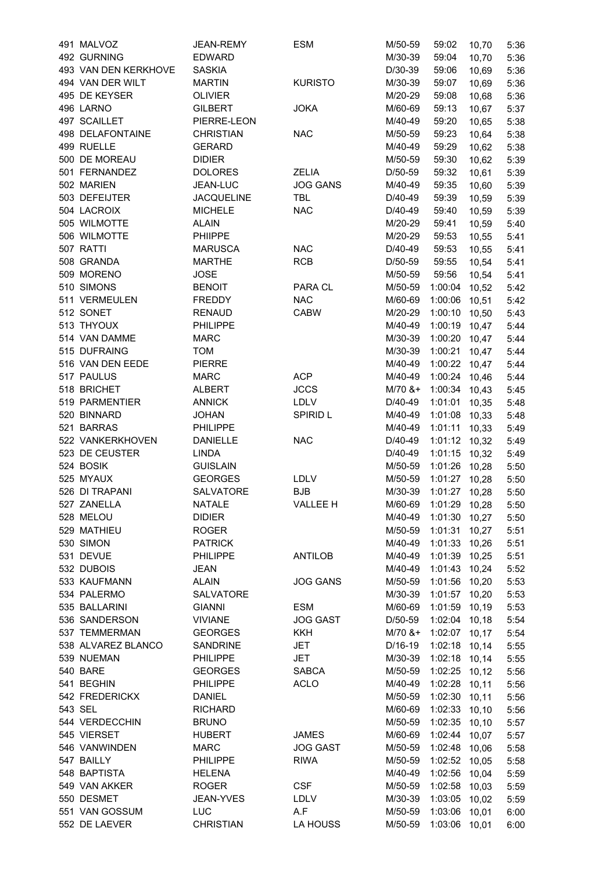| 491 MALVOZ           | JEAN-REMY         | <b>ESM</b>         | M/50-59                          | 59:02         | 10,70 | 5:36 |
|----------------------|-------------------|--------------------|----------------------------------|---------------|-------|------|
| 492 GURNING          | <b>EDWARD</b>     |                    | M/30-39                          | 59:04         | 10,70 | 5:36 |
| 493 VAN DEN KERKHOVE | <b>SASKIA</b>     |                    | D/30-39                          | 59:06         | 10,69 | 5:36 |
| 494 VAN DER WILT     | <b>MARTIN</b>     | <b>KURISTO</b>     | M/30-39                          | 59:07         | 10,69 | 5:36 |
| 495 DE KEYSER        | <b>OLIVIER</b>    |                    | M/20-29                          | 59:08         | 10,68 | 5:36 |
| 496 LARNO            | <b>GILBERT</b>    | <b>JOKA</b>        | M/60-69                          | 59:13         | 10,67 | 5:37 |
| 497 SCAILLET         | PIERRE-LEON       |                    | M/40-49                          | 59:20         | 10,65 | 5:38 |
| 498 DELAFONTAINE     | <b>CHRISTIAN</b>  | <b>NAC</b>         | M/50-59                          | 59:23         | 10,64 | 5:38 |
| 499 RUELLE           | <b>GERARD</b>     |                    | M/40-49                          | 59:29         | 10,62 | 5:38 |
| 500 DE MOREAU        | <b>DIDIER</b>     |                    | M/50-59                          | 59:30         | 10,62 | 5:39 |
| 501 FERNANDEZ        | <b>DOLORES</b>    | ZELIA              | D/50-59                          | 59:32         | 10,61 | 5:39 |
| 502 MARIEN           | JEAN-LUC          | <b>JOG GANS</b>    | M/40-49                          | 59:35         | 10,60 | 5:39 |
| 503 DEFEIJTER        | <b>JACQUELINE</b> | <b>TBL</b>         | D/40-49                          | 59:39         | 10,59 | 5:39 |
| 504 LACROIX          | <b>MICHELE</b>    | <b>NAC</b>         | D/40-49                          | 59:40         | 10,59 | 5:39 |
| 505 WILMOTTE         | <b>ALAIN</b>      |                    | M/20-29                          | 59:41         | 10,59 | 5:40 |
| 506 WILMOTTE         | PHIIPPE           |                    | M/20-29                          | 59:53         | 10,55 | 5:41 |
| 507 RATTI            | <b>MARUSCA</b>    | <b>NAC</b>         | D/40-49                          | 59:53         | 10,55 | 5:41 |
| 508 GRANDA           | <b>MARTHE</b>     | <b>RCB</b>         | D/50-59                          | 59:55         | 10,54 | 5:41 |
| 509 MORENO           | <b>JOSE</b>       |                    | M/50-59                          | 59:56         | 10,54 | 5:41 |
| 510 SIMONS           | <b>BENOIT</b>     | PARA CL            | M/50-59                          | 1:00:04 10,52 |       | 5:42 |
| 511 VERMEULEN        | <b>FREDDY</b>     | <b>NAC</b>         | M/60-69                          | 1:00:06 10,51 |       | 5:42 |
| 512 SONET            | <b>RENAUD</b>     | <b>CABW</b>        | M/20-29                          | 1:00:10 10,50 |       | 5:43 |
| 513 THYOUX           | <b>PHILIPPE</b>   |                    | M/40-49                          | 1:00:19 10,47 |       | 5:44 |
| 514 VAN DAMME        | <b>MARC</b>       |                    | M/30-39                          | 1:00:20 10,47 |       | 5:44 |
| 515 DUFRAING         | <b>TOM</b>        |                    | M/30-39                          | 1:00:21 10,47 |       | 5:44 |
| 516 VAN DEN EEDE     | <b>PIERRE</b>     |                    | M/40-49                          | 1:00:22 10,47 |       | 5:44 |
| 517 PAULUS           | <b>MARC</b>       | <b>ACP</b>         | M/40-49                          | 1:00:24 10,46 |       | 5:44 |
| 518 BRICHET          | <b>ALBERT</b>     | <b>JCCS</b>        | $M/70$ &+                        | 1:00:34 10,43 |       | 5:45 |
| 519 PARMENTIER       | <b>ANNICK</b>     | LDLV               | D/40-49                          | 1:01:01 10,35 |       | 5:48 |
| 520 BINNARD          | <b>JOHAN</b>      | <b>SPIRID L</b>    | M/40-49                          | 1:01:08 10,33 |       | 5:48 |
| 521 BARRAS           | PHILIPPE          |                    | M/40-49                          | 1:01:11 10,33 |       | 5:49 |
| 522 VANKERKHOVEN     | <b>DANIELLE</b>   | <b>NAC</b>         | D/40-49                          | 1:01:12 10,32 |       |      |
| 523 DE CEUSTER       | LINDA             |                    | D/40-49                          | 1:01:15 10,32 |       | 5:49 |
| 524 BOSIK            | <b>GUISLAIN</b>   |                    | M/50-59                          | 1:01:26 10,28 |       | 5:49 |
| 525 MYAUX            | <b>GEORGES</b>    |                    | M/50-59                          | 1:01:27 10,28 |       | 5:50 |
| 526 DI TRAPANI       | SALVATORE         | LDLV<br><b>BJB</b> |                                  | 1:01:27 10,28 |       | 5:50 |
| 527 ZANELLA          | <b>NATALE</b>     | <b>VALLEE H</b>    | M/30-39<br>M/60-69 1:01:29 10,28 |               |       | 5:50 |
|                      |                   |                    |                                  |               |       | 5:50 |
| 528 MELOU            | <b>DIDIER</b>     |                    | M/40-49                          | 1:01:30 10,27 |       | 5:50 |
| 529 MATHIEU          | <b>ROGER</b>      |                    | M/50-59                          | 1:01:31 10,27 |       | 5:51 |
| 530 SIMON            | <b>PATRICK</b>    |                    | M/40-49                          | 1:01:33 10,26 |       | 5:51 |
| 531 DEVUE            | <b>PHILIPPE</b>   | <b>ANTILOB</b>     | M/40-49                          | 1:01:39 10,25 |       | 5:51 |
| 532 DUBOIS           | <b>JEAN</b>       | <b>JOG GANS</b>    | M/40-49                          | 1:01:43 10,24 |       | 5:52 |
| 533 KAUFMANN         | <b>ALAIN</b>      |                    | M/50-59                          | 1:01:56 10,20 |       | 5:53 |
| 534 PALERMO          | SALVATORE         |                    | M/30-39                          | 1:01:57 10,20 |       | 5:53 |
| 535 BALLARINI        | <b>GIANNI</b>     | ESM                | M/60-69                          | 1:01:59 10,19 |       | 5:53 |
| 536 SANDERSON        | <b>VIVIANE</b>    | <b>JOG GAST</b>    | D/50-59                          | 1:02:04 10,18 |       | 5:54 |
| 537 TEMMERMAN        | <b>GEORGES</b>    | KKH                | M/70 &+                          | 1:02:07 10,17 |       | 5:54 |
| 538 ALVAREZ BLANCO   | <b>SANDRINE</b>   | JET                | D/16-19                          | 1:02:18 10,14 |       | 5:55 |
| 539 NUEMAN           | <b>PHILIPPE</b>   | JET                | M/30-39                          | 1:02:18 10,14 |       | 5:55 |
| 540 BARE             | <b>GEORGES</b>    | <b>SABCA</b>       | M/50-59                          | 1:02:25 10,12 |       | 5:56 |
| 541 BEGHIN           | <b>PHILIPPE</b>   | <b>ACLO</b>        | M/40-49                          | 1:02:28 10,11 |       | 5:56 |
| 542 FREDERICKX       | DANIEL            |                    | M/50-59                          | 1:02:30 10,11 |       | 5:56 |
| 543 SEL              | <b>RICHARD</b>    |                    | M/60-69                          | 1:02:33 10,10 |       | 5:56 |
| 544 VERDECCHIN       | <b>BRUNO</b>      |                    | M/50-59                          | 1:02:35 10,10 |       | 5:57 |
| 545 VIERSET          | <b>HUBERT</b>     | <b>JAMES</b>       | M/60-69                          | 1:02:44 10,07 |       | 5:57 |
| 546 VANWINDEN        | <b>MARC</b>       | <b>JOG GAST</b>    | M/50-59                          | 1:02:48 10,06 |       | 5:58 |
| 547 BAILLY           | <b>PHILIPPE</b>   | <b>RIWA</b>        | M/50-59                          | 1:02:52 10,05 |       | 5:58 |
| 548 BAPTISTA         | <b>HELENA</b>     |                    | M/40-49                          | 1:02:56 10,04 |       | 5:59 |
| 549 VAN AKKER        | <b>ROGER</b>      | <b>CSF</b>         | M/50-59                          | 1:02:58 10,03 |       | 5:59 |
| 550 DESMET           | JEAN-YVES         | LDLV               | M/30-39                          | 1:03:05 10,02 |       | 5:59 |
| 551 VAN GOSSUM       | <b>LUC</b>        | A.F                | M/50-59                          | 1:03:06 10,01 |       | 6:00 |
| 552 DE LAEVER        | <b>CHRISTIAN</b>  | LA HOUSS           | M/50-59                          | 1:03:06       | 10,01 | 6:00 |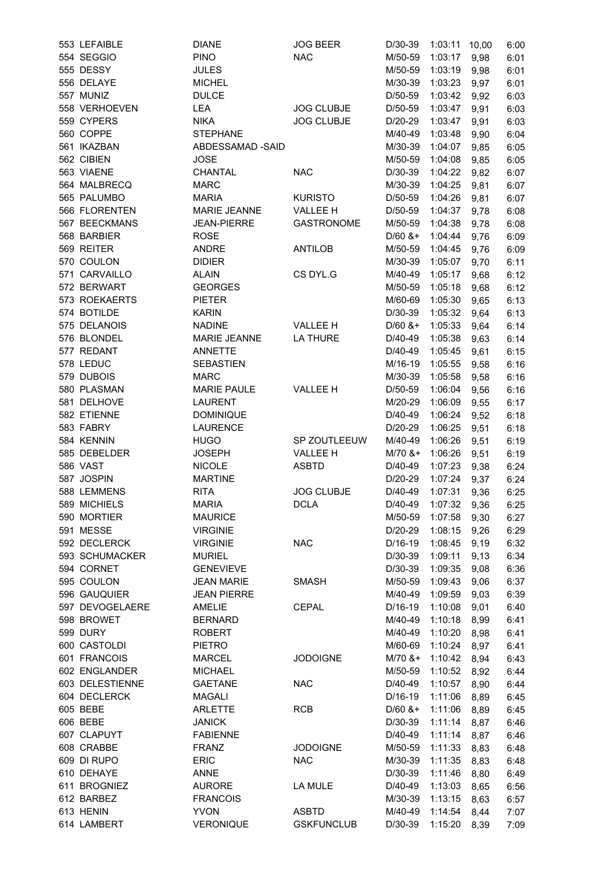| 553 LEFAIBLE    | <b>DIANE</b>        | <b>JOG BEER</b>   | D/30-39              | 1:03:11      | 10,00 | 6:00 |
|-----------------|---------------------|-------------------|----------------------|--------------|-------|------|
| 554 SEGGIO      | <b>PINO</b>         | <b>NAC</b>        | M/50-59              | 1:03:17      | 9,98  | 6:01 |
| 555 DESSY       | <b>JULES</b>        |                   | M/50-59              | 1:03:19      | 9,98  | 6:01 |
| 556 DELAYE      | <b>MICHEL</b>       |                   | M/30-39              | 1:03:23      | 9,97  | 6:01 |
| 557 MUNIZ       | <b>DULCE</b>        |                   | D/50-59              | 1:03:42      | 9,92  | 6:03 |
| 558 VERHOEVEN   | LEA                 | <b>JOG CLUBJE</b> | D/50-59              | 1:03:47      | 9,91  | 6:03 |
| 559 CYPERS      | <b>NIKA</b>         | <b>JOG CLUBJE</b> | D/20-29              | 1:03:47      | 9,91  | 6:03 |
| 560 COPPE       | <b>STEPHANE</b>     |                   | M/40-49              | 1:03:48      | 9,90  | 6:04 |
| 561 IKAZBAN     | ABDESSAMAD -SAID    |                   | M/30-39              | 1:04:07      | 9,85  | 6:05 |
| 562 CIBIEN      | <b>JOSE</b>         |                   | M/50-59              | 1:04:08      | 9,85  | 6:05 |
| 563 VIAENE      | CHANTAL             | <b>NAC</b>        | D/30-39              | 1:04:22      | 9,82  | 6:07 |
| 564 MALBRECQ    | <b>MARC</b>         |                   | M/30-39              | 1:04:25      | 9,81  | 6:07 |
| 565 PALUMBO     | <b>MARIA</b>        | <b>KURISTO</b>    | D/50-59              | 1:04:26      | 9,81  | 6:07 |
| 566 FLORENTEN   | <b>MARIE JEANNE</b> | VALLEE H          | D/50-59              | 1:04:37      | 9,78  | 6:08 |
| 567 BEECKMANS   | <b>JEAN-PIERRE</b>  | <b>GASTRONOME</b> | M/50-59              | 1:04:38      | 9,78  | 6:08 |
| 568 BARBIER     | <b>ROSE</b>         |                   | $D/60$ &+            |              |       | 6:09 |
| 569 REITER      |                     |                   |                      | 1:04:44      | 9,76  |      |
| 570 COULON      | <b>ANDRE</b>        | <b>ANTILOB</b>    | M/50-59              | 1:04:45      | 9,76  | 6:09 |
|                 | <b>DIDIER</b>       |                   | M/30-39              | 1:05:07      | 9,70  | 6:11 |
| 571 CARVAILLO   | <b>ALAIN</b>        | CS DYL.G          | M/40-49              | 1:05:17      | 9,68  | 6:12 |
| 572 BERWART     | <b>GEORGES</b>      |                   | M/50-59              | 1:05:18      | 9,68  | 6:12 |
| 573 ROEKAERTS   | <b>PIETER</b>       |                   | M/60-69              | 1:05:30      | 9,65  | 6:13 |
| 574 BOTILDE     | <b>KARIN</b>        |                   | D/30-39              | 1:05:32      | 9,64  | 6:13 |
| 575 DELANOIS    | <b>NADINE</b>       | VALLEE H          | $D/60$ &+            | 1:05:33      | 9,64  | 6:14 |
| 576 BLONDEL     | MARIE JEANNE        | <b>LA THURE</b>   | D/40-49              | 1:05:38      | 9,63  | 6:14 |
| 577 REDANT      | <b>ANNETTE</b>      |                   | D/40-49              | 1:05:45      | 9,61  | 6:15 |
| 578 LEDUC       | <b>SEBASTIEN</b>    |                   | M/16-19              | 1:05:55      | 9,58  | 6:16 |
| 579 DUBOIS      | <b>MARC</b>         |                   | M/30-39              | 1:05:58      | 9,58  | 6:16 |
| 580 PLASMAN     | <b>MARIE PAULE</b>  | VALLEE H          | D/50-59              | 1:06:04      | 9,56  | 6:16 |
| 581 DELHOVE     | <b>LAURENT</b>      |                   | M/20-29              | 1:06:09      | 9,55  | 6:17 |
| 582 ETIENNE     | <b>DOMINIQUE</b>    |                   | D/40-49              | 1:06:24      | 9,52  | 6:18 |
| 583 FABRY       | <b>LAURENCE</b>     |                   | D/20-29              | 1:06:25      | 9,51  | 6:18 |
| 584 KENNIN      | <b>HUGO</b>         | SP ZOUTLEEUW      | M/40-49              | 1:06:26      | 9,51  | 6:19 |
| 585 DEBELDER    | <b>JOSEPH</b>       | <b>VALLEE H</b>   | $M/70$ &+            | 1:06:26      | 9,51  | 6:19 |
| 586 VAST        | <b>NICOLE</b>       | <b>ASBTD</b>      | D/40-49              | 1:07:23      | 9,38  | 6:24 |
| 587 JOSPIN      | <b>MARTINE</b>      |                   | D/20-29              | 1:07:24      | 9,37  | 6:24 |
| 588 LEMMENS     | <b>RITA</b>         | <b>JOG CLUBJE</b> | D/40-49              | 1:07:31      | 9,36  | 6:25 |
| 589 MICHIELS    | <b>MARIA</b>        | <b>DCLA</b>       | D/40-49 1:07:32 9,36 |              |       | 6:25 |
| 590 MORTIER     | <b>MAURICE</b>      |                   | M/50-59              | 1:07:58 9,30 |       | 6:27 |
| 591 MESSE       | <b>VIRGINIE</b>     |                   | D/20-29              | 1:08:15 9,26 |       | 6:29 |
| 592 DECLERCK    | <b>VIRGINIE</b>     | <b>NAC</b>        | D/16-19              | 1:08:45      | 9,19  | 6:32 |
| 593 SCHUMACKER  | <b>MURIEL</b>       |                   | D/30-39              | 1:09:11      | 9,13  | 6:34 |
| 594 CORNET      | <b>GENEVIEVE</b>    |                   | D/30-39              | 1:09:35      | 9,08  | 6:36 |
| 595 COULON      | <b>JEAN MARIE</b>   | <b>SMASH</b>      | M/50-59              | 1:09:43      | 9,06  | 6:37 |
| 596 GAUQUIER    | <b>JEAN PIERRE</b>  |                   | M/40-49              | 1:09:59      | 9,03  | 6:39 |
| 597 DEVOGELAERE | AMELIE              | <b>CEPAL</b>      | D/16-19              | 1:10:08      | 9,01  | 6:40 |
| 598 BROWET      | <b>BERNARD</b>      |                   | M/40-49              | 1:10:18      | 8,99  | 6:41 |
| 599 DURY        | <b>ROBERT</b>       |                   | M/40-49              | 1:10:20      | 8,98  | 6:41 |
| 600 CASTOLDI    | <b>PIETRO</b>       |                   | M/60-69              | 1:10:24      | 8,97  | 6:41 |
| 601 FRANCOIS    | MARCEL              | <b>JODOIGNE</b>   | $M/70$ &+            | 1:10:42      | 8,94  | 6:43 |
| 602 ENGLANDER   | MICHAEL             |                   | M/50-59              | 1:10:52      | 8,92  | 6:44 |
| 603 DELESTIENNE | <b>GAETANE</b>      | <b>NAC</b>        | D/40-49              | 1:10:57      | 8,90  | 6:44 |
| 604 DECLERCK    | <b>MAGALI</b>       |                   | D/16-19              | 1:11:06      | 8,89  | 6:45 |
| 605 BEBE        | <b>ARLETTE</b>      | <b>RCB</b>        | $D/60$ &+            | 1:11:06      | 8,89  | 6:45 |
| 606 BEBE        | <b>JANICK</b>       |                   | D/30-39              | 1:11:14      | 8,87  |      |
| 607 CLAPUYT     | <b>FABIENNE</b>     |                   | D/40-49              | 1:11:14      | 8,87  | 6:46 |
| 608 CRABBE      |                     |                   |                      |              |       | 6:46 |
| 609 DI RUPO     | <b>FRANZ</b>        | <b>JODOIGNE</b>   | M/50-59              | 1:11:33      | 8,83  | 6:48 |
|                 | <b>ERIC</b>         | <b>NAC</b>        | M/30-39              | 1:11:35      | 8,83  | 6:48 |
| 610 DEHAYE      | ANNE                |                   | D/30-39              | 1:11:46      | 8,80  | 6:49 |
| 611 BROGNIEZ    | <b>AURORE</b>       | LA MULE           | D/40-49              | 1:13:03      | 8,65  | 6:56 |
| 612 BARBEZ      | <b>FRANCOIS</b>     |                   | M/30-39              | 1:13:15      | 8,63  | 6:57 |
| 613 HENIN       | <b>YVON</b>         | <b>ASBTD</b>      | M/40-49              | 1:14:54      | 8,44  | 7:07 |
| 614 LAMBERT     | <b>VERONIQUE</b>    | <b>GSKFUNCLUB</b> | D/30-39              | 1:15:20      | 8,39  | 7:09 |